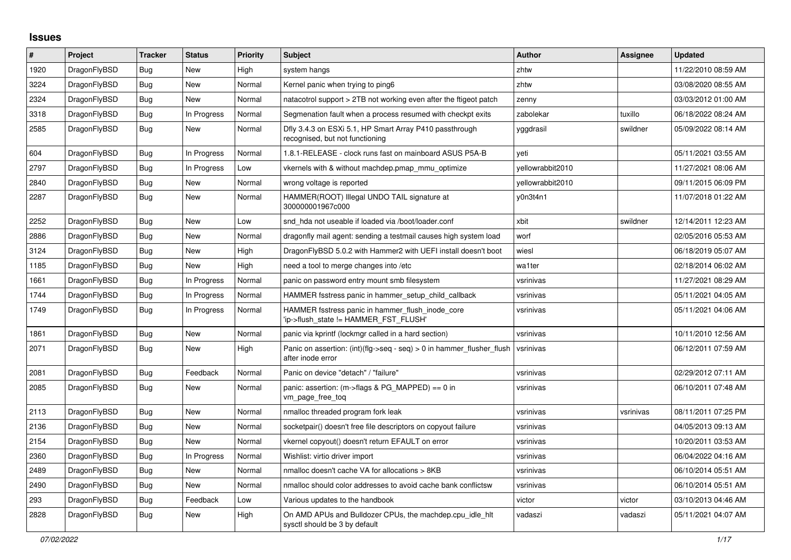## **Issues**

| $\#$ | Project      | <b>Tracker</b> | <b>Status</b> | <b>Priority</b> | <b>Subject</b>                                                                                | <b>Author</b>    | Assignee  | <b>Updated</b>      |
|------|--------------|----------------|---------------|-----------------|-----------------------------------------------------------------------------------------------|------------------|-----------|---------------------|
| 1920 | DragonFlyBSD | <b>Bug</b>     | New           | High            | system hangs                                                                                  | zhtw             |           | 11/22/2010 08:59 AM |
| 3224 | DragonFlyBSD | Bug            | New           | Normal          | Kernel panic when trying to ping6                                                             | zhtw             |           | 03/08/2020 08:55 AM |
| 2324 | DragonFlyBSD | Bug            | New           | Normal          | natacotrol support > 2TB not working even after the ftigeot patch                             | zenny            |           | 03/03/2012 01:00 AM |
| 3318 | DragonFlyBSD | Bug            | In Progress   | Normal          | Segmenation fault when a process resumed with checkpt exits                                   | zabolekar        | tuxillo   | 06/18/2022 08:24 AM |
| 2585 | DragonFlyBSD | Bug            | <b>New</b>    | Normal          | Dfly 3.4.3 on ESXi 5.1, HP Smart Array P410 passthrough<br>recognised, but not functioning    | yggdrasil        | swildner  | 05/09/2022 08:14 AM |
| 604  | DragonFlyBSD | Bug            | In Progress   | Normal          | 1.8.1-RELEASE - clock runs fast on mainboard ASUS P5A-B                                       | yeti             |           | 05/11/2021 03:55 AM |
| 2797 | DragonFlyBSD | Bug            | In Progress   | Low             | vkernels with & without machdep.pmap_mmu_optimize                                             | yellowrabbit2010 |           | 11/27/2021 08:06 AM |
| 2840 | DragonFlyBSD | Bug            | New           | Normal          | wrong voltage is reported                                                                     | yellowrabbit2010 |           | 09/11/2015 06:09 PM |
| 2287 | DragonFlyBSD | Bug            | New           | Normal          | HAMMER(ROOT) Illegal UNDO TAIL signature at<br>300000001967c000                               | y0n3t4n1         |           | 11/07/2018 01:22 AM |
| 2252 | DragonFlyBSD | Bug            | New           | Low             | snd hda not useable if loaded via /boot/loader.conf                                           | xbit             | swildner  | 12/14/2011 12:23 AM |
| 2886 | DragonFlyBSD | Bug            | New           | Normal          | dragonfly mail agent: sending a testmail causes high system load                              | worf             |           | 02/05/2016 05:53 AM |
| 3124 | DragonFlyBSD | Bug            | New           | High            | DragonFlyBSD 5.0.2 with Hammer2 with UEFI install doesn't boot                                | wiesl            |           | 06/18/2019 05:07 AM |
| 1185 | DragonFlyBSD | Bug            | <b>New</b>    | High            | need a tool to merge changes into /etc                                                        | wa1ter           |           | 02/18/2014 06:02 AM |
| 1661 | DragonFlyBSD | Bug            | In Progress   | Normal          | panic on password entry mount smb filesystem                                                  | vsrinivas        |           | 11/27/2021 08:29 AM |
| 1744 | DragonFlyBSD | <b>Bug</b>     | In Progress   | Normal          | HAMMER fsstress panic in hammer setup child callback                                          | vsrinivas        |           | 05/11/2021 04:05 AM |
| 1749 | DragonFlyBSD | <b>Bug</b>     | In Progress   | Normal          | HAMMER fsstress panic in hammer_flush_inode_core<br>'ip->flush state != HAMMER FST FLUSH'     | vsrinivas        |           | 05/11/2021 04:06 AM |
| 1861 | DragonFlyBSD | <b>Bug</b>     | New           | Normal          | panic via kprintf (lockmgr called in a hard section)                                          | vsrinivas        |           | 10/11/2010 12:56 AM |
| 2071 | DragonFlyBSD | Bug            | New           | High            | Panic on assertion: $(int)(flag->seq - seq) > 0$ in hammer flusher flush<br>after inode error | vsrinivas        |           | 06/12/2011 07:59 AM |
| 2081 | DragonFlyBSD | Bug            | Feedback      | Normal          | Panic on device "detach" / "failure"                                                          | vsrinivas        |           | 02/29/2012 07:11 AM |
| 2085 | DragonFlyBSD | Bug            | New           | Normal          | panic: assertion: $(m\rightarrow$ flags & PG MAPPED) == 0 in<br>vm page free tog              | vsrinivas        |           | 06/10/2011 07:48 AM |
| 2113 | DragonFlyBSD | <b>Bug</b>     | <b>New</b>    | Normal          | nmalloc threaded program fork leak                                                            | vsrinivas        | vsrinivas | 08/11/2011 07:25 PM |
| 2136 | DragonFlyBSD | <b>Bug</b>     | <b>New</b>    | Normal          | socketpair() doesn't free file descriptors on copyout failure                                 | vsrinivas        |           | 04/05/2013 09:13 AM |
| 2154 | DragonFlyBSD | Bug            | New           | Normal          | vkernel copyout() doesn't return EFAULT on error                                              | vsrinivas        |           | 10/20/2011 03:53 AM |
| 2360 | DragonFlyBSD | Bug            | In Progress   | Normal          | Wishlist: virtio driver import                                                                | vsrinivas        |           | 06/04/2022 04:16 AM |
| 2489 | DragonFlyBSD | <b>Bug</b>     | New           | Normal          | nmalloc doesn't cache VA for allocations > 8KB                                                | vsrinivas        |           | 06/10/2014 05:51 AM |
| 2490 | DragonFlyBSD | Bug            | New           | Normal          | nmalloc should color addresses to avoid cache bank conflictsw                                 | vsrinivas        |           | 06/10/2014 05:51 AM |
| 293  | DragonFlyBSD | Bug            | Feedback      | Low             | Various updates to the handbook                                                               | victor           | victor    | 03/10/2013 04:46 AM |
| 2828 | DragonFlyBSD | <b>Bug</b>     | <b>New</b>    | High            | On AMD APUs and Bulldozer CPUs, the machdep.cpu idle hit<br>sysctl should be 3 by default     | vadaszi          | vadaszi   | 05/11/2021 04:07 AM |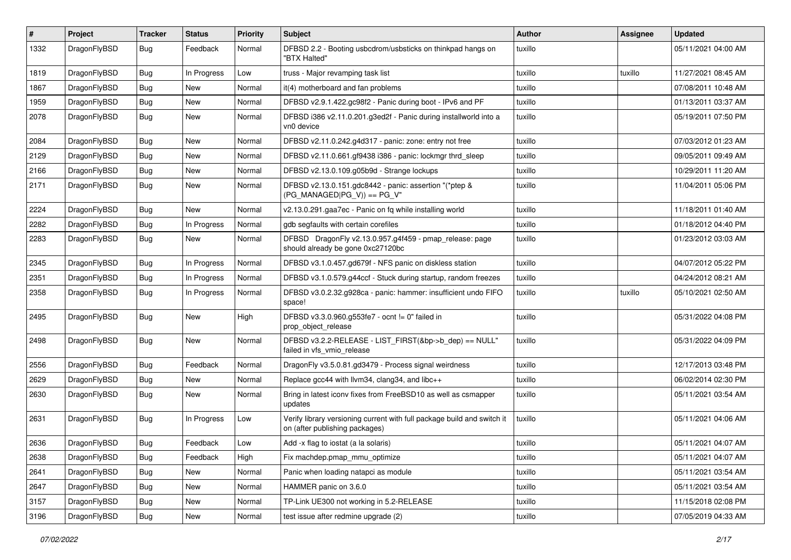| #    | Project      | <b>Tracker</b> | <b>Status</b> | <b>Priority</b> | Subject                                                                                                   | <b>Author</b> | Assignee | <b>Updated</b>      |
|------|--------------|----------------|---------------|-----------------|-----------------------------------------------------------------------------------------------------------|---------------|----------|---------------------|
| 1332 | DragonFlyBSD | Bug            | Feedback      | Normal          | DFBSD 2.2 - Booting usbcdrom/usbsticks on thinkpad hangs on<br>"BTX Halted"                               | tuxillo       |          | 05/11/2021 04:00 AM |
| 1819 | DragonFlyBSD | <b>Bug</b>     | In Progress   | Low             | truss - Major revamping task list                                                                         | tuxillo       | tuxillo  | 11/27/2021 08:45 AM |
| 1867 | DragonFlyBSD | Bug            | New           | Normal          | it(4) motherboard and fan problems                                                                        | tuxillo       |          | 07/08/2011 10:48 AM |
| 1959 | DragonFlyBSD | <b>Bug</b>     | New           | Normal          | DFBSD v2.9.1.422.gc98f2 - Panic during boot - IPv6 and PF                                                 | tuxillo       |          | 01/13/2011 03:37 AM |
| 2078 | DragonFlyBSD | Bug            | New           | Normal          | DFBSD i386 v2.11.0.201.g3ed2f - Panic during installworld into a<br>vn0 device                            | tuxillo       |          | 05/19/2011 07:50 PM |
| 2084 | DragonFlyBSD | Bug            | New           | Normal          | DFBSD v2.11.0.242.g4d317 - panic: zone: entry not free                                                    | tuxillo       |          | 07/03/2012 01:23 AM |
| 2129 | DragonFlyBSD | Bug            | <b>New</b>    | Normal          | DFBSD v2.11.0.661.gf9438 i386 - panic: lockmgr thrd_sleep                                                 | tuxillo       |          | 09/05/2011 09:49 AM |
| 2166 | DragonFlyBSD | Bug            | New           | Normal          | DFBSD v2.13.0.109.g05b9d - Strange lockups                                                                | tuxillo       |          | 10/29/2011 11:20 AM |
| 2171 | DragonFlyBSD | <b>Bug</b>     | New           | Normal          | DFBSD v2.13.0.151.gdc8442 - panic: assertion "(*ptep &<br>$(PG_MANAGED PG_V)) == PG_V"$                   | tuxillo       |          | 11/04/2011 05:06 PM |
| 2224 | DragonFlyBSD | Bug            | <b>New</b>    | Normal          | v2.13.0.291.gaa7ec - Panic on fq while installing world                                                   | tuxillo       |          | 11/18/2011 01:40 AM |
| 2282 | DragonFlyBSD | <b>Bug</b>     | In Progress   | Normal          | gdb segfaults with certain corefiles                                                                      | tuxillo       |          | 01/18/2012 04:40 PM |
| 2283 | DragonFlyBSD | <b>Bug</b>     | New           | Normal          | DFBSD DragonFly v2.13.0.957.g4f459 - pmap_release: page<br>should already be gone 0xc27120bc              | tuxillo       |          | 01/23/2012 03:03 AM |
| 2345 | DragonFlyBSD | Bug            | In Progress   | Normal          | DFBSD v3.1.0.457.gd679f - NFS panic on diskless station                                                   | tuxillo       |          | 04/07/2012 05:22 PM |
| 2351 | DragonFlyBSD | Bug            | In Progress   | Normal          | DFBSD v3.1.0.579.g44ccf - Stuck during startup, random freezes                                            | tuxillo       |          | 04/24/2012 08:21 AM |
| 2358 | DragonFlyBSD | <b>Bug</b>     | In Progress   | Normal          | DFBSD v3.0.2.32.g928ca - panic: hammer: insufficient undo FIFO<br>space!                                  | tuxillo       | tuxillo  | 05/10/2021 02:50 AM |
| 2495 | DragonFlyBSD | Bug            | New           | High            | DFBSD v3.3.0.960.g553fe7 - ocnt != 0" failed in<br>prop_object_release                                    | tuxillo       |          | 05/31/2022 04:08 PM |
| 2498 | DragonFlyBSD | <b>Bug</b>     | New           | Normal          | DFBSD v3.2.2-RELEASE - LIST_FIRST(&bp->b_dep) == NULL"<br>failed in vfs_vmio_release                      | tuxillo       |          | 05/31/2022 04:09 PM |
| 2556 | DragonFlyBSD | Bug            | Feedback      | Normal          | DragonFly v3.5.0.81.gd3479 - Process signal weirdness                                                     | tuxillo       |          | 12/17/2013 03:48 PM |
| 2629 | DragonFlyBSD | <b>Bug</b>     | <b>New</b>    | Normal          | Replace gcc44 with llvm34, clang34, and libc++                                                            | tuxillo       |          | 06/02/2014 02:30 PM |
| 2630 | DragonFlyBSD | <b>Bug</b>     | New           | Normal          | Bring in latest iconv fixes from FreeBSD10 as well as csmapper<br>updates                                 | tuxillo       |          | 05/11/2021 03:54 AM |
| 2631 | DragonFlyBSD | Bug            | In Progress   | Low             | Verify library versioning current with full package build and switch it<br>on (after publishing packages) | tuxillo       |          | 05/11/2021 04:06 AM |
| 2636 | DragonFlyBSD | <b>Bug</b>     | Feedback      | Low             | Add -x flag to iostat (a la solaris)                                                                      | tuxillo       |          | 05/11/2021 04:07 AM |
| 2638 | DragonFlyBSD | <b>Bug</b>     | Feedback      | High            | Fix machdep.pmap_mmu_optimize                                                                             | tuxillo       |          | 05/11/2021 04:07 AM |
| 2641 | DragonFlyBSD | <b>Bug</b>     | New           | Normal          | Panic when loading natapci as module                                                                      | tuxillo       |          | 05/11/2021 03:54 AM |
| 2647 | DragonFlyBSD | <b>Bug</b>     | New           | Normal          | HAMMER panic on 3.6.0                                                                                     | tuxillo       |          | 05/11/2021 03:54 AM |
| 3157 | DragonFlyBSD | <b>Bug</b>     | New           | Normal          | TP-Link UE300 not working in 5.2-RELEASE                                                                  | tuxillo       |          | 11/15/2018 02:08 PM |
| 3196 | DragonFlyBSD | <b>Bug</b>     | New           | Normal          | test issue after redmine upgrade (2)                                                                      | tuxillo       |          | 07/05/2019 04:33 AM |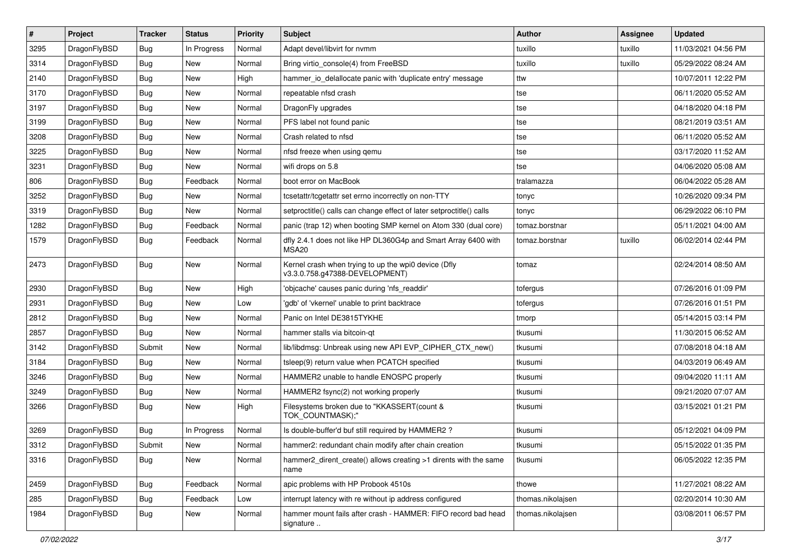| $\pmb{\#}$ | Project      | <b>Tracker</b> | <b>Status</b> | <b>Priority</b> | <b>Subject</b>                                                                         | <b>Author</b>     | Assignee | <b>Updated</b>      |
|------------|--------------|----------------|---------------|-----------------|----------------------------------------------------------------------------------------|-------------------|----------|---------------------|
| 3295       | DragonFlyBSD | Bug            | In Progress   | Normal          | Adapt devel/libvirt for nvmm                                                           | tuxillo           | tuxillo  | 11/03/2021 04:56 PM |
| 3314       | DragonFlyBSD | Bug            | <b>New</b>    | Normal          | Bring virtio_console(4) from FreeBSD                                                   | tuxillo           | tuxillo  | 05/29/2022 08:24 AM |
| 2140       | DragonFlyBSD | Bug            | New           | High            | hammer_io_delallocate panic with 'duplicate entry' message                             | ttw               |          | 10/07/2011 12:22 PM |
| 3170       | DragonFlyBSD | Bug            | New           | Normal          | repeatable nfsd crash                                                                  | tse               |          | 06/11/2020 05:52 AM |
| 3197       | DragonFlyBSD | Bug            | <b>New</b>    | Normal          | DragonFly upgrades                                                                     | tse               |          | 04/18/2020 04:18 PM |
| 3199       | DragonFlyBSD | Bug            | New           | Normal          | PFS label not found panic                                                              | tse               |          | 08/21/2019 03:51 AM |
| 3208       | DragonFlyBSD | Bug            | New           | Normal          | Crash related to nfsd                                                                  | tse               |          | 06/11/2020 05:52 AM |
| 3225       | DragonFlyBSD | Bug            | <b>New</b>    | Normal          | nfsd freeze when using gemu                                                            | tse               |          | 03/17/2020 11:52 AM |
| 3231       | DragonFlyBSD | Bug            | <b>New</b>    | Normal          | wifi drops on 5.8                                                                      | tse               |          | 04/06/2020 05:08 AM |
| 806        | DragonFlyBSD | Bug            | Feedback      | Normal          | boot error on MacBook                                                                  | tralamazza        |          | 06/04/2022 05:28 AM |
| 3252       | DragonFlyBSD | <b>Bug</b>     | New           | Normal          | tcsetattr/tcgetattr set errno incorrectly on non-TTY                                   | tonyc             |          | 10/26/2020 09:34 PM |
| 3319       | DragonFlyBSD | Bug            | New           | Normal          | setproctitle() calls can change effect of later setproctitle() calls                   | tonyc             |          | 06/29/2022 06:10 PM |
| 1282       | DragonFlyBSD | <b>Bug</b>     | Feedback      | Normal          | panic (trap 12) when booting SMP kernel on Atom 330 (dual core)                        | tomaz.borstnar    |          | 05/11/2021 04:00 AM |
| 1579       | DragonFlyBSD | Bug            | Feedback      | Normal          | dfly 2.4.1 does not like HP DL360G4p and Smart Array 6400 with<br>MSA20                | tomaz.borstnar    | tuxillo  | 06/02/2014 02:44 PM |
| 2473       | DragonFlyBSD | Bug            | New           | Normal          | Kernel crash when trying to up the wpi0 device (Dfly<br>v3.3.0.758.g47388-DEVELOPMENT) | tomaz             |          | 02/24/2014 08:50 AM |
| 2930       | DragonFlyBSD | Bug            | <b>New</b>    | High            | 'objcache' causes panic during 'nfs_readdir'                                           | tofergus          |          | 07/26/2016 01:09 PM |
| 2931       | DragonFlyBSD | Bug            | New           | Low             | 'gdb' of 'vkernel' unable to print backtrace                                           | tofergus          |          | 07/26/2016 01:51 PM |
| 2812       | DragonFlyBSD | Bug            | New           | Normal          | Panic on Intel DE3815TYKHE                                                             | tmorp             |          | 05/14/2015 03:14 PM |
| 2857       | DragonFlyBSD | Bug            | <b>New</b>    | Normal          | hammer stalls via bitcoin-qt                                                           | tkusumi           |          | 11/30/2015 06:52 AM |
| 3142       | DragonFlyBSD | Submit         | <b>New</b>    | Normal          | lib/libdmsg: Unbreak using new API EVP_CIPHER_CTX_new()                                | tkusumi           |          | 07/08/2018 04:18 AM |
| 3184       | DragonFlyBSD | Bug            | New           | Normal          | tsleep(9) return value when PCATCH specified                                           | tkusumi           |          | 04/03/2019 06:49 AM |
| 3246       | DragonFlyBSD | Bug            | <b>New</b>    | Normal          | HAMMER2 unable to handle ENOSPC properly                                               | tkusumi           |          | 09/04/2020 11:11 AM |
| 3249       | DragonFlyBSD | Bug            | New           | Normal          | HAMMER2 fsync(2) not working properly                                                  | tkusumi           |          | 09/21/2020 07:07 AM |
| 3266       | DragonFlyBSD | Bug            | <b>New</b>    | High            | Filesystems broken due to "KKASSERT(count &<br>TOK COUNTMASK);"                        | tkusumi           |          | 03/15/2021 01:21 PM |
| 3269       | DragonFlyBSD | <b>Bug</b>     | In Progress   | Normal          | Is double-buffer'd buf still required by HAMMER2?                                      | tkusumi           |          | 05/12/2021 04:09 PM |
| 3312       | DragonFlyBSD | Submit         | New           | Normal          | hammer2: redundant chain modify after chain creation                                   | tkusumi           |          | 05/15/2022 01:35 PM |
| 3316       | DragonFlyBSD | Bug            | New           | Normal          | hammer2 dirent create() allows creating >1 dirents with the same<br>name               | tkusumi           |          | 06/05/2022 12:35 PM |
| 2459       | DragonFlyBSD | <b>Bug</b>     | Feedback      | Normal          | apic problems with HP Probook 4510s                                                    | thowe             |          | 11/27/2021 08:22 AM |
| 285        | DragonFlyBSD | Bug            | Feedback      | Low             | interrupt latency with re without ip address configured                                | thomas.nikolajsen |          | 02/20/2014 10:30 AM |
| 1984       | DragonFlyBSD | Bug            | New           | Normal          | hammer mount fails after crash - HAMMER: FIFO record bad head<br>signature             | thomas.nikolajsen |          | 03/08/2011 06:57 PM |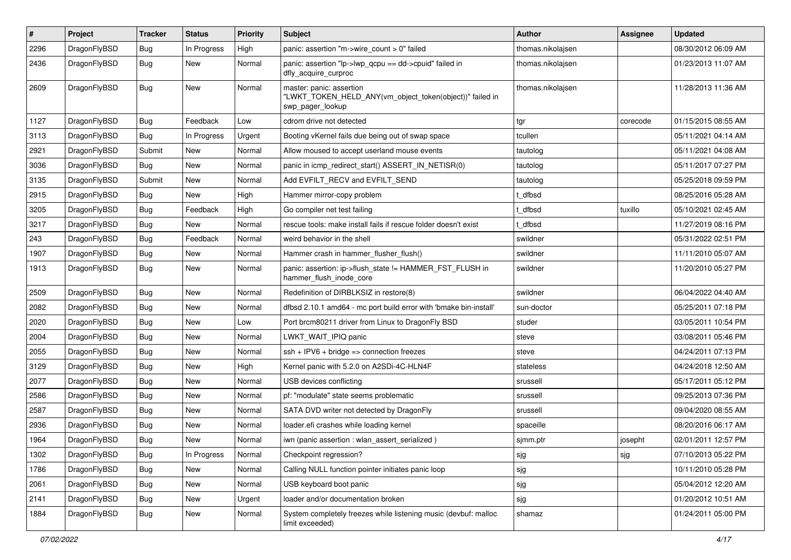| #    | Project      | <b>Tracker</b> | <b>Status</b> | <b>Priority</b> | Subject                                                                                                  | Author            | <b>Assignee</b> | <b>Updated</b>      |
|------|--------------|----------------|---------------|-----------------|----------------------------------------------------------------------------------------------------------|-------------------|-----------------|---------------------|
| 2296 | DragonFlyBSD | Bug            | In Progress   | High            | panic: assertion "m->wire count > 0" failed                                                              | thomas.nikolajsen |                 | 08/30/2012 06:09 AM |
| 2436 | DragonFlyBSD | Bug            | New           | Normal          | panic: assertion "lp->lwp_qcpu == dd->cpuid" failed in<br>dfly_acquire_curproc                           | thomas.nikolajsen |                 | 01/23/2013 11:07 AM |
| 2609 | DragonFlyBSD | Bug            | New           | Normal          | master: panic: assertion<br>"LWKT_TOKEN_HELD_ANY(vm_object_token(object))" failed in<br>swp_pager_lookup | thomas.nikolajsen |                 | 11/28/2013 11:36 AM |
| 1127 | DragonFlyBSD | Bug            | Feedback      | Low             | cdrom drive not detected                                                                                 | tgr               | corecode        | 01/15/2015 08:55 AM |
| 3113 | DragonFlyBSD | <b>Bug</b>     | In Progress   | Urgent          | Booting vKernel fails due being out of swap space                                                        | tcullen           |                 | 05/11/2021 04:14 AM |
| 2921 | DragonFlyBSD | Submit         | New           | Normal          | Allow moused to accept userland mouse events                                                             | tautolog          |                 | 05/11/2021 04:08 AM |
| 3036 | DragonFlyBSD | Bug            | <b>New</b>    | Normal          | panic in icmp_redirect_start() ASSERT_IN_NETISR(0)                                                       | tautolog          |                 | 05/11/2017 07:27 PM |
| 3135 | DragonFlyBSD | Submit         | New           | Normal          | Add EVFILT_RECV and EVFILT_SEND                                                                          | tautolog          |                 | 05/25/2018 09:59 PM |
| 2915 | DragonFlyBSD | Bug            | New           | High            | Hammer mirror-copy problem                                                                               | t dfbsd           |                 | 08/25/2016 05:28 AM |
| 3205 | DragonFlyBSD | Bug            | Feedback      | High            | Go compiler net test failing                                                                             | : dfbsd           | tuxillo         | 05/10/2021 02:45 AM |
| 3217 | DragonFlyBSD | <b>Bug</b>     | New           | Normal          | rescue tools: make install fails if rescue folder doesn't exist                                          | t_dfbsd           |                 | 11/27/2019 08:16 PM |
| 243  | DragonFlyBSD | <b>Bug</b>     | Feedback      | Normal          | weird behavior in the shell                                                                              | swildner          |                 | 05/31/2022 02:51 PM |
| 1907 | DragonFlyBSD | <b>Bug</b>     | New           | Normal          | Hammer crash in hammer flusher flush()                                                                   | swildner          |                 | 11/11/2010 05:07 AM |
| 1913 | DragonFlyBSD | Bug            | New           | Normal          | panic: assertion: ip->flush_state != HAMMER_FST_FLUSH in<br>hammer_flush_inode_core                      | swildner          |                 | 11/20/2010 05:27 PM |
| 2509 | DragonFlyBSD | Bug            | <b>New</b>    | Normal          | Redefinition of DIRBLKSIZ in restore(8)                                                                  | swildner          |                 | 06/04/2022 04:40 AM |
| 2082 | DragonFlyBSD | Bug            | <b>New</b>    | Normal          | dfbsd 2.10.1 amd64 - mc port build error with 'bmake bin-install'                                        | sun-doctor        |                 | 05/25/2011 07:18 PM |
| 2020 | DragonFlyBSD | <b>Bug</b>     | New           | Low             | Port brcm80211 driver from Linux to DragonFly BSD                                                        | studer            |                 | 03/05/2011 10:54 PM |
| 2004 | DragonFlyBSD | Bug            | New           | Normal          | LWKT WAIT IPIQ panic                                                                                     | steve             |                 | 03/08/2011 05:46 PM |
| 2055 | DragonFlyBSD | <b>Bug</b>     | <b>New</b>    | Normal          | ssh + IPV6 + bridge => connection freezes                                                                | steve             |                 | 04/24/2011 07:13 PM |
| 3129 | DragonFlyBSD | <b>Bug</b>     | New           | High            | Kernel panic with 5.2.0 on A2SDi-4C-HLN4F                                                                | stateless         |                 | 04/24/2018 12:50 AM |
| 2077 | DragonFlyBSD | Bug            | New           | Normal          | USB devices conflicting                                                                                  | srussell          |                 | 05/17/2011 05:12 PM |
| 2586 | DragonFlyBSD | Bug            | <b>New</b>    | Normal          | pf: "modulate" state seems problematic                                                                   | srussell          |                 | 09/25/2013 07:36 PM |
| 2587 | DragonFlyBSD | <b>Bug</b>     | New           | Normal          | SATA DVD writer not detected by DragonFly                                                                | srussell          |                 | 09/04/2020 08:55 AM |
| 2936 | DragonFlyBSD | <b>Bug</b>     | <b>New</b>    | Normal          | loader.efi crashes while loading kernel                                                                  | spaceille         |                 | 08/20/2016 06:17 AM |
| 1964 | DragonFlyBSD | <b>Bug</b>     | New           | Normal          | iwn (panic assertion : wlan assert serialized)                                                           | sjmm.ptr          | josepht         | 02/01/2011 12:57 PM |
| 1302 | DragonFlyBSD | <b>Bug</b>     | In Progress   | Normal          | Checkpoint regression?                                                                                   | sjg               | sjg             | 07/10/2013 05:22 PM |
| 1786 | DragonFlyBSD | <b>Bug</b>     | New           | Normal          | Calling NULL function pointer initiates panic loop                                                       | sjg               |                 | 10/11/2010 05:28 PM |
| 2061 | DragonFlyBSD | <b>Bug</b>     | New           | Normal          | USB keyboard boot panic                                                                                  | sjg               |                 | 05/04/2012 12:20 AM |
| 2141 | DragonFlyBSD | <b>Bug</b>     | New           | Urgent          | loader and/or documentation broken                                                                       | sjg               |                 | 01/20/2012 10:51 AM |
| 1884 | DragonFlyBSD | Bug            | New           | Normal          | System completely freezes while listening music (devbuf: malloc<br>limit exceeded)                       | shamaz            |                 | 01/24/2011 05:00 PM |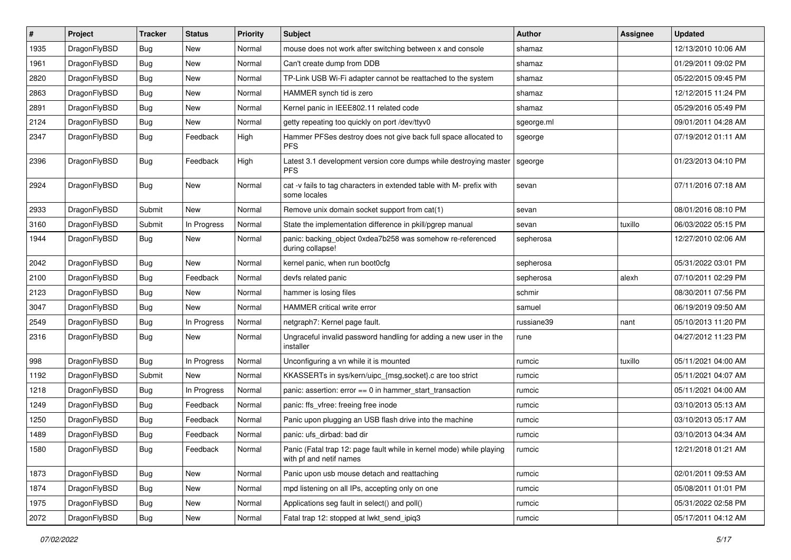| $\sharp$ | Project      | <b>Tracker</b> | <b>Status</b> | <b>Priority</b> | Subject                                                                                         | Author     | Assignee | <b>Updated</b>      |
|----------|--------------|----------------|---------------|-----------------|-------------------------------------------------------------------------------------------------|------------|----------|---------------------|
| 1935     | DragonFlyBSD | <b>Bug</b>     | New           | Normal          | mouse does not work after switching between x and console                                       | shamaz     |          | 12/13/2010 10:06 AM |
| 1961     | DragonFlyBSD | Bug            | New           | Normal          | Can't create dump from DDB                                                                      | shamaz     |          | 01/29/2011 09:02 PM |
| 2820     | DragonFlyBSD | <b>Bug</b>     | New           | Normal          | TP-Link USB Wi-Fi adapter cannot be reattached to the system                                    | shamaz     |          | 05/22/2015 09:45 PM |
| 2863     | DragonFlyBSD | <b>Bug</b>     | <b>New</b>    | Normal          | HAMMER synch tid is zero                                                                        | shamaz     |          | 12/12/2015 11:24 PM |
| 2891     | DragonFlyBSD | <b>Bug</b>     | <b>New</b>    | Normal          | Kernel panic in IEEE802.11 related code                                                         | shamaz     |          | 05/29/2016 05:49 PM |
| 2124     | DragonFlyBSD | <b>Bug</b>     | New           | Normal          | getty repeating too quickly on port /dev/ttyv0                                                  | sgeorge.ml |          | 09/01/2011 04:28 AM |
| 2347     | DragonFlyBSD | <b>Bug</b>     | Feedback      | High            | Hammer PFSes destroy does not give back full space allocated to<br><b>PFS</b>                   | sgeorge    |          | 07/19/2012 01:11 AM |
| 2396     | DragonFlyBSD | Bug            | Feedback      | High            | Latest 3.1 development version core dumps while destroying master<br><b>PFS</b>                 | sgeorge    |          | 01/23/2013 04:10 PM |
| 2924     | DragonFlyBSD | Bug            | New           | Normal          | cat -v fails to tag characters in extended table with M- prefix with<br>some locales            | sevan      |          | 07/11/2016 07:18 AM |
| 2933     | DragonFlyBSD | Submit         | <b>New</b>    | Normal          | Remove unix domain socket support from cat(1)                                                   | sevan      |          | 08/01/2016 08:10 PM |
| 3160     | DragonFlyBSD | Submit         | In Progress   | Normal          | State the implementation difference in pkill/pgrep manual                                       | sevan      | tuxillo  | 06/03/2022 05:15 PM |
| 1944     | DragonFlyBSD | Bug            | New           | Normal          | panic: backing_object 0xdea7b258 was somehow re-referenced<br>during collapse!                  | sepherosa  |          | 12/27/2010 02:06 AM |
| 2042     | DragonFlyBSD | Bug            | New           | Normal          | kernel panic, when run boot0cfg                                                                 | sepherosa  |          | 05/31/2022 03:01 PM |
| 2100     | DragonFlyBSD | Bug            | Feedback      | Normal          | devfs related panic                                                                             | sepherosa  | alexh    | 07/10/2011 02:29 PM |
| 2123     | DragonFlyBSD | <b>Bug</b>     | New           | Normal          | hammer is losing files                                                                          | schmir     |          | 08/30/2011 07:56 PM |
| 3047     | DragonFlyBSD | <b>Bug</b>     | New           | Normal          | <b>HAMMER</b> critical write error                                                              | samuel     |          | 06/19/2019 09:50 AM |
| 2549     | DragonFlyBSD | <b>Bug</b>     | In Progress   | Normal          | netgraph7: Kernel page fault.                                                                   | russiane39 | nant     | 05/10/2013 11:20 PM |
| 2316     | DragonFlyBSD | <b>Bug</b>     | New           | Normal          | Ungraceful invalid password handling for adding a new user in the<br>installer                  | rune       |          | 04/27/2012 11:23 PM |
| 998      | DragonFlyBSD | <b>Bug</b>     | In Progress   | Normal          | Unconfiguring a vn while it is mounted                                                          | rumcic     | tuxillo  | 05/11/2021 04:00 AM |
| 1192     | DragonFlyBSD | Submit         | New           | Normal          | KKASSERTs in sys/kern/uipc_{msg,socket}.c are too strict                                        | rumcic     |          | 05/11/2021 04:07 AM |
| 1218     | DragonFlyBSD | Bug            | In Progress   | Normal          | panic: assertion: error == 0 in hammer_start_transaction                                        | rumcic     |          | 05/11/2021 04:00 AM |
| 1249     | DragonFlyBSD | <b>Bug</b>     | Feedback      | Normal          | panic: ffs_vfree: freeing free inode                                                            | rumcic     |          | 03/10/2013 05:13 AM |
| 1250     | DragonFlyBSD | <b>Bug</b>     | Feedback      | Normal          | Panic upon plugging an USB flash drive into the machine                                         | rumcic     |          | 03/10/2013 05:17 AM |
| 1489     | DragonFlyBSD | <b>Bug</b>     | Feedback      | Normal          | panic: ufs_dirbad: bad dir                                                                      | rumcic     |          | 03/10/2013 04:34 AM |
| 1580     | DragonFlyBSD | <b>Bug</b>     | Feedback      | Normal          | Panic (Fatal trap 12: page fault while in kernel mode) while playing<br>with pf and netif names | rumcic     |          | 12/21/2018 01:21 AM |
| 1873     | DragonFlyBSD | Bug            | <b>New</b>    | Normal          | Panic upon usb mouse detach and reattaching                                                     | rumcic     |          | 02/01/2011 09:53 AM |
| 1874     | DragonFlyBSD | <b>Bug</b>     | New           | Normal          | mpd listening on all IPs, accepting only on one                                                 | rumcic     |          | 05/08/2011 01:01 PM |
| 1975     | DragonFlyBSD | Bug            | New           | Normal          | Applications seg fault in select() and poll()                                                   | rumcic     |          | 05/31/2022 02:58 PM |
| 2072     | DragonFlyBSD | <b>Bug</b>     | New           | Normal          | Fatal trap 12: stopped at lwkt_send_ipiq3                                                       | rumcic     |          | 05/17/2011 04:12 AM |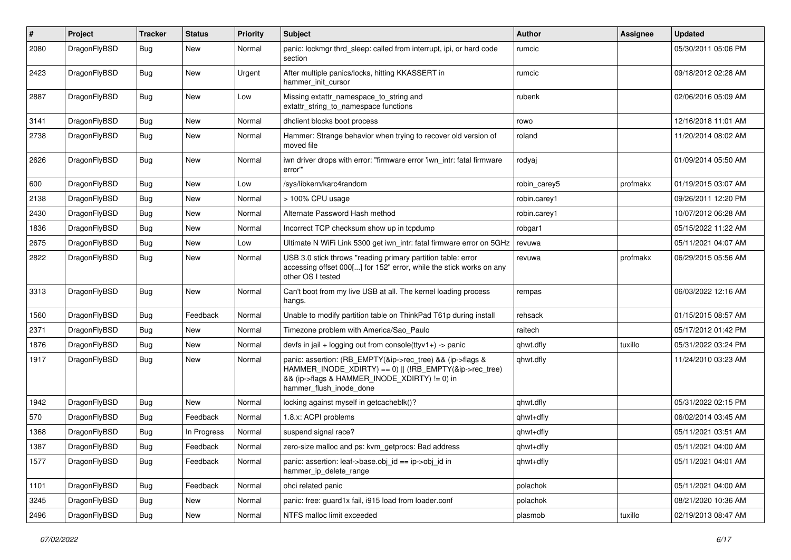| #    | Project      | <b>Tracker</b> | <b>Status</b> | <b>Priority</b> | Subject                                                                                                                                                                                           | Author       | Assignee | <b>Updated</b>      |
|------|--------------|----------------|---------------|-----------------|---------------------------------------------------------------------------------------------------------------------------------------------------------------------------------------------------|--------------|----------|---------------------|
| 2080 | DragonFlyBSD | Bug            | <b>New</b>    | Normal          | panic: lockmgr thrd sleep: called from interrupt, ipi, or hard code<br>section                                                                                                                    | rumcic       |          | 05/30/2011 05:06 PM |
| 2423 | DragonFlyBSD | Bug            | <b>New</b>    | Urgent          | After multiple panics/locks, hitting KKASSERT in<br>hammer init cursor                                                                                                                            | rumcic       |          | 09/18/2012 02:28 AM |
| 2887 | DragonFlyBSD | <b>Bug</b>     | <b>New</b>    | Low             | Missing extattr_namespace_to_string and<br>extattr string to namespace functions                                                                                                                  | rubenk       |          | 02/06/2016 05:09 AM |
| 3141 | DragonFlyBSD | Bug            | <b>New</b>    | Normal          | dhclient blocks boot process                                                                                                                                                                      | rowo         |          | 12/16/2018 11:01 AM |
| 2738 | DragonFlyBSD | <b>Bug</b>     | New           | Normal          | Hammer: Strange behavior when trying to recover old version of<br>moved file                                                                                                                      | roland       |          | 11/20/2014 08:02 AM |
| 2626 | DragonFlyBSD | Bug            | <b>New</b>    | Normal          | iwn driver drops with error: "firmware error 'iwn_intr: fatal firmware<br>error"                                                                                                                  | rodyaj       |          | 01/09/2014 05:50 AM |
| 600  | DragonFlyBSD | Bug            | <b>New</b>    | Low             | /sys/libkern/karc4random                                                                                                                                                                          | robin carey5 | profmakx | 01/19/2015 03:07 AM |
| 2138 | DragonFlyBSD | <b>Bug</b>     | New           | Normal          | > 100% CPU usage                                                                                                                                                                                  | robin.carey1 |          | 09/26/2011 12:20 PM |
| 2430 | DragonFlyBSD | <b>Bug</b>     | New           | Normal          | Alternate Password Hash method                                                                                                                                                                    | robin.carey1 |          | 10/07/2012 06:28 AM |
| 1836 | DragonFlyBSD | Bug            | New           | Normal          | Incorrect TCP checksum show up in tcpdump                                                                                                                                                         | robgar1      |          | 05/15/2022 11:22 AM |
| 2675 | DragonFlyBSD | Bug            | New           | Low             | Ultimate N WiFi Link 5300 get iwn intr: fatal firmware error on 5GHz                                                                                                                              | revuwa       |          | 05/11/2021 04:07 AM |
| 2822 | DragonFlyBSD | Bug            | New           | Normal          | USB 3.0 stick throws "reading primary partition table: error<br>accessing offset 000[] for 152" error, while the stick works on any<br>other OS I tested                                          | revuwa       | profmakx | 06/29/2015 05:56 AM |
| 3313 | DragonFlyBSD | Bug            | <b>New</b>    | Normal          | Can't boot from my live USB at all. The kernel loading process<br>hangs.                                                                                                                          | rempas       |          | 06/03/2022 12:16 AM |
| 1560 | DragonFlyBSD | <b>Bug</b>     | Feedback      | Normal          | Unable to modify partition table on ThinkPad T61p during install                                                                                                                                  | rehsack      |          | 01/15/2015 08:57 AM |
| 2371 | DragonFlyBSD | Bug            | New           | Normal          | Timezone problem with America/Sao Paulo                                                                                                                                                           | raitech      |          | 05/17/2012 01:42 PM |
| 1876 | DragonFlyBSD | <b>Bug</b>     | <b>New</b>    | Normal          | devfs in jail + logging out from console(ttyv1+) -> panic                                                                                                                                         | qhwt.dfly    | tuxillo  | 05/31/2022 03:24 PM |
| 1917 | DragonFlyBSD | <b>Bug</b>     | New           | Normal          | panic: assertion: (RB_EMPTY(&ip->rec_tree) && (ip->flags &<br>HAMMER_INODE_XDIRTY) == 0)    (!RB_EMPTY(&ip->rec_tree)<br>&& (ip->flags & HAMMER_INODE_XDIRTY) != 0) in<br>hammer_flush_inode_done | qhwt.dfly    |          | 11/24/2010 03:23 AM |
| 1942 | DragonFlyBSD | Bug            | <b>New</b>    | Normal          | locking against myself in getcacheblk()?                                                                                                                                                          | qhwt.dfly    |          | 05/31/2022 02:15 PM |
| 570  | DragonFlyBSD | Bug            | Feedback      | Normal          | 1.8.x: ACPI problems                                                                                                                                                                              | qhwt+dfly    |          | 06/02/2014 03:45 AM |
| 1368 | DragonFlyBSD | Bug            | In Progress   | Normal          | suspend signal race?                                                                                                                                                                              | qhwt+dfly    |          | 05/11/2021 03:51 AM |
| 1387 | DragonFlyBSD | <b>Bug</b>     | Feedback      | Normal          | zero-size malloc and ps: kvm_getprocs: Bad address                                                                                                                                                | qhwt+dfly    |          | 05/11/2021 04:00 AM |
| 1577 | DragonFlyBSD | <b>Bug</b>     | Feedback      | Normal          | panic: assertion: leaf->base.obj_id == ip->obj_id in<br>hammer_ip_delete_range                                                                                                                    | qhwt+dfly    |          | 05/11/2021 04:01 AM |
| 1101 | DragonFlyBSD | <b>Bug</b>     | Feedback      | Normal          | ohci related panic                                                                                                                                                                                | polachok     |          | 05/11/2021 04:00 AM |
| 3245 | DragonFlyBSD | <b>Bug</b>     | New           | Normal          | panic: free: guard1x fail, i915 load from loader.conf                                                                                                                                             | polachok     |          | 08/21/2020 10:36 AM |
| 2496 | DragonFlyBSD | <b>Bug</b>     | New           | Normal          | NTFS malloc limit exceeded                                                                                                                                                                        | plasmob      | tuxillo  | 02/19/2013 08:47 AM |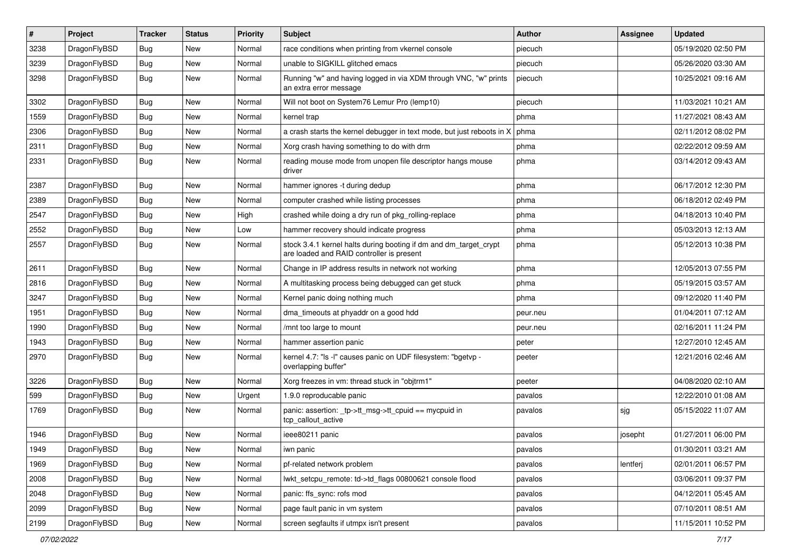| $\sharp$ | Project      | <b>Tracker</b> | <b>Status</b> | <b>Priority</b> | Subject                                                                                                        | Author   | Assignee | <b>Updated</b>      |
|----------|--------------|----------------|---------------|-----------------|----------------------------------------------------------------------------------------------------------------|----------|----------|---------------------|
| 3238     | DragonFlyBSD | <b>Bug</b>     | New           | Normal          | race conditions when printing from vkernel console                                                             | piecuch  |          | 05/19/2020 02:50 PM |
| 3239     | DragonFlyBSD | Bug            | New           | Normal          | unable to SIGKILL glitched emacs                                                                               | piecuch  |          | 05/26/2020 03:30 AM |
| 3298     | DragonFlyBSD | <b>Bug</b>     | New           | Normal          | Running "w" and having logged in via XDM through VNC, "w" prints<br>an extra error message                     | piecuch  |          | 10/25/2021 09:16 AM |
| 3302     | DragonFlyBSD | Bug            | <b>New</b>    | Normal          | Will not boot on System76 Lemur Pro (lemp10)                                                                   | piecuch  |          | 11/03/2021 10:21 AM |
| 1559     | DragonFlyBSD | <b>Bug</b>     | New           | Normal          | kernel trap                                                                                                    | phma     |          | 11/27/2021 08:43 AM |
| 2306     | DragonFlyBSD | <b>Bug</b>     | New           | Normal          | a crash starts the kernel debugger in text mode, but just reboots in X                                         | phma     |          | 02/11/2012 08:02 PM |
| 2311     | DragonFlyBSD | <b>Bug</b>     | <b>New</b>    | Normal          | Xorg crash having something to do with drm                                                                     | phma     |          | 02/22/2012 09:59 AM |
| 2331     | DragonFlyBSD | <b>Bug</b>     | New           | Normal          | reading mouse mode from unopen file descriptor hangs mouse<br>driver                                           | phma     |          | 03/14/2012 09:43 AM |
| 2387     | DragonFlyBSD | Bug            | <b>New</b>    | Normal          | hammer ignores -t during dedup                                                                                 | phma     |          | 06/17/2012 12:30 PM |
| 2389     | DragonFlyBSD | <b>Bug</b>     | <b>New</b>    | Normal          | computer crashed while listing processes                                                                       | phma     |          | 06/18/2012 02:49 PM |
| 2547     | DragonFlyBSD | <b>Bug</b>     | New           | High            | crashed while doing a dry run of pkg_rolling-replace                                                           | phma     |          | 04/18/2013 10:40 PM |
| 2552     | DragonFlyBSD | <b>Bug</b>     | New           | Low             | hammer recovery should indicate progress                                                                       | phma     |          | 05/03/2013 12:13 AM |
| 2557     | DragonFlyBSD | <b>Bug</b>     | New           | Normal          | stock 3.4.1 kernel halts during booting if dm and dm_target_crypt<br>are loaded and RAID controller is present | phma     |          | 05/12/2013 10:38 PM |
| 2611     | DragonFlyBSD | Bug            | <b>New</b>    | Normal          | Change in IP address results in network not working                                                            | phma     |          | 12/05/2013 07:55 PM |
| 2816     | DragonFlyBSD | Bug            | <b>New</b>    | Normal          | A multitasking process being debugged can get stuck                                                            | phma     |          | 05/19/2015 03:57 AM |
| 3247     | DragonFlyBSD | <b>Bug</b>     | New           | Normal          | Kernel panic doing nothing much                                                                                | phma     |          | 09/12/2020 11:40 PM |
| 1951     | DragonFlyBSD | Bug            | <b>New</b>    | Normal          | dma_timeouts at phyaddr on a good hdd                                                                          | peur.neu |          | 01/04/2011 07:12 AM |
| 1990     | DragonFlyBSD | <b>Bug</b>     | New           | Normal          | /mnt too large to mount                                                                                        | peur.neu |          | 02/16/2011 11:24 PM |
| 1943     | DragonFlyBSD | Bug            | New           | Normal          | hammer assertion panic                                                                                         | peter    |          | 12/27/2010 12:45 AM |
| 2970     | DragonFlyBSD | <b>Bug</b>     | New           | Normal          | kernel 4.7: "Is -I" causes panic on UDF filesystem: "bgetvp -<br>overlapping buffer"                           | peeter   |          | 12/21/2016 02:46 AM |
| 3226     | DragonFlyBSD | Bug            | New           | Normal          | Xorg freezes in vm: thread stuck in "objtrm1"                                                                  | peeter   |          | 04/08/2020 02:10 AM |
| 599      | DragonFlyBSD | Bug            | New           | Urgent          | 1.9.0 reproducable panic                                                                                       | pavalos  |          | 12/22/2010 01:08 AM |
| 1769     | DragonFlyBSD | Bug            | New           | Normal          | panic: assertion: _tp->tt_msg->tt_cpuid == mycpuid in<br>tcp_callout_active                                    | pavalos  | sjg      | 05/15/2022 11:07 AM |
| 1946     | DragonFlyBSD | <b>Bug</b>     | New           | Normal          | ieee80211 panic                                                                                                | pavalos  | josepht  | 01/27/2011 06:00 PM |
| 1949     | DragonFlyBSD | <b>Bug</b>     | <b>New</b>    | Normal          | iwn panic                                                                                                      | pavalos  |          | 01/30/2011 03:21 AM |
| 1969     | DragonFlyBSD | <b>Bug</b>     | New           | Normal          | pf-related network problem                                                                                     | pavalos  | lentferj | 02/01/2011 06:57 PM |
| 2008     | DragonFlyBSD | <b>Bug</b>     | New           | Normal          | lwkt_setcpu_remote: td->td_flags 00800621 console flood                                                        | pavalos  |          | 03/06/2011 09:37 PM |
| 2048     | DragonFlyBSD | <b>Bug</b>     | New           | Normal          | panic: ffs_sync: rofs mod                                                                                      | pavalos  |          | 04/12/2011 05:45 AM |
| 2099     | DragonFlyBSD | <b>Bug</b>     | <b>New</b>    | Normal          | page fault panic in vm system                                                                                  | pavalos  |          | 07/10/2011 08:51 AM |
| 2199     | DragonFlyBSD | <b>Bug</b>     | New           | Normal          | screen segfaults if utmpx isn't present                                                                        | pavalos  |          | 11/15/2011 10:52 PM |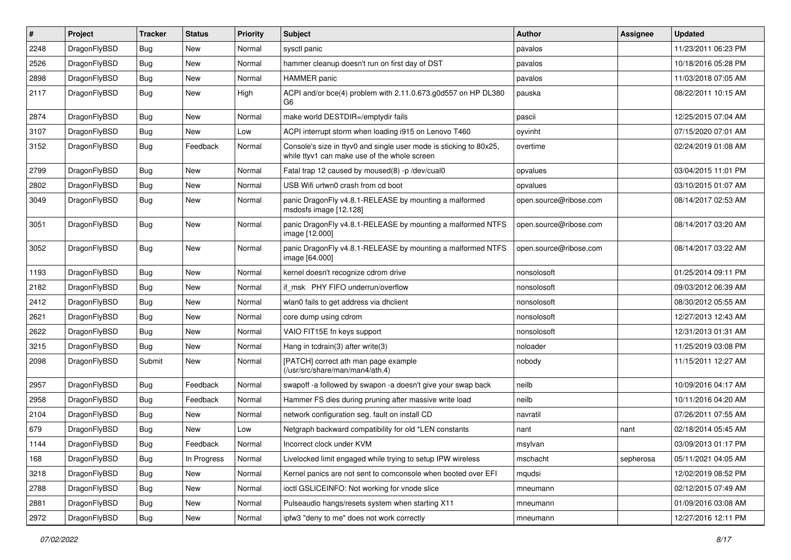| #    | Project      | <b>Tracker</b> | <b>Status</b> | <b>Priority</b> | Subject                                                                                                            | <b>Author</b>          | Assignee  | <b>Updated</b>      |
|------|--------------|----------------|---------------|-----------------|--------------------------------------------------------------------------------------------------------------------|------------------------|-----------|---------------------|
| 2248 | DragonFlyBSD | Bug            | <b>New</b>    | Normal          | sysctl panic                                                                                                       | pavalos                |           | 11/23/2011 06:23 PM |
| 2526 | DragonFlyBSD | <b>Bug</b>     | <b>New</b>    | Normal          | hammer cleanup doesn't run on first day of DST                                                                     | pavalos                |           | 10/18/2016 05:28 PM |
| 2898 | DragonFlyBSD | Bug            | <b>New</b>    | Normal          | <b>HAMMER</b> panic                                                                                                | pavalos                |           | 11/03/2018 07:05 AM |
| 2117 | DragonFlyBSD | Bug            | <b>New</b>    | High            | ACPI and/or bce(4) problem with 2.11.0.673.g0d557 on HP DL380<br>G6                                                | pauska                 |           | 08/22/2011 10:15 AM |
| 2874 | DragonFlyBSD | <b>Bug</b>     | New           | Normal          | make world DESTDIR=/emptydir fails                                                                                 | pascii                 |           | 12/25/2015 07:04 AM |
| 3107 | DragonFlyBSD | Bug            | New           | Low             | ACPI interrupt storm when loading i915 on Lenovo T460                                                              | oyvinht                |           | 07/15/2020 07:01 AM |
| 3152 | DragonFlyBSD | <b>Bug</b>     | Feedback      | Normal          | Console's size in ttyv0 and single user mode is sticking to 80x25,<br>while ttyv1 can make use of the whole screen | overtime               |           | 02/24/2019 01:08 AM |
| 2799 | DragonFlyBSD | <b>Bug</b>     | <b>New</b>    | Normal          | Fatal trap 12 caused by moused(8) -p /dev/cual0                                                                    | opvalues               |           | 03/04/2015 11:01 PM |
| 2802 | DragonFlyBSD | <b>Bug</b>     | <b>New</b>    | Normal          | USB Wifi urtwn0 crash from cd boot                                                                                 | opvalues               |           | 03/10/2015 01:07 AM |
| 3049 | DragonFlyBSD | <b>Bug</b>     | <b>New</b>    | Normal          | panic DragonFly v4.8.1-RELEASE by mounting a malformed<br>msdosfs image [12.128]                                   | open.source@ribose.com |           | 08/14/2017 02:53 AM |
| 3051 | DragonFlyBSD | <b>Bug</b>     | New           | Normal          | panic DragonFly v4.8.1-RELEASE by mounting a malformed NTFS<br>image [12.000]                                      | open.source@ribose.com |           | 08/14/2017 03:20 AM |
| 3052 | DragonFlyBSD | Bug            | New           | Normal          | panic DragonFly v4.8.1-RELEASE by mounting a malformed NTFS<br>image [64.000]                                      | open.source@ribose.com |           | 08/14/2017 03:22 AM |
| 1193 | DragonFlyBSD | Bug            | <b>New</b>    | Normal          | kernel doesn't recognize cdrom drive                                                                               | nonsolosoft            |           | 01/25/2014 09:11 PM |
| 2182 | DragonFlyBSD | <b>Bug</b>     | <b>New</b>    | Normal          | if msk PHY FIFO underrun/overflow                                                                                  | nonsolosoft            |           | 09/03/2012 06:39 AM |
| 2412 | DragonFlyBSD | Bug            | <b>New</b>    | Normal          | wlan0 fails to get address via dhclient                                                                            | nonsolosoft            |           | 08/30/2012 05:55 AM |
| 2621 | DragonFlyBSD | Bug            | <b>New</b>    | Normal          | core dump using cdrom                                                                                              | nonsolosoft            |           | 12/27/2013 12:43 AM |
| 2622 | DragonFlyBSD | <b>Bug</b>     | <b>New</b>    | Normal          | VAIO FIT15E fn keys support                                                                                        | nonsolosoft            |           | 12/31/2013 01:31 AM |
| 3215 | DragonFlyBSD | Bug            | <b>New</b>    | Normal          | Hang in tcdrain(3) after write(3)                                                                                  | noloader               |           | 11/25/2019 03:08 PM |
| 2098 | DragonFlyBSD | Submit         | New           | Normal          | [PATCH] correct ath man page example<br>(/usr/src/share/man/man4/ath.4)                                            | nobody                 |           | 11/15/2011 12:27 AM |
| 2957 | DragonFlyBSD | Bug            | Feedback      | Normal          | swapoff -a followed by swapon -a doesn't give your swap back                                                       | neilb                  |           | 10/09/2016 04:17 AM |
| 2958 | DragonFlyBSD | <b>Bug</b>     | Feedback      | Normal          | Hammer FS dies during pruning after massive write load                                                             | neilb                  |           | 10/11/2016 04:20 AM |
| 2104 | DragonFlyBSD | Bug            | <b>New</b>    | Normal          | network configuration seg. fault on install CD                                                                     | navratil               |           | 07/26/2011 07:55 AM |
| 679  | DragonFlyBSD | <b>Bug</b>     | <b>New</b>    | Low             | Netgraph backward compatibility for old *LEN constants                                                             | nant                   | nant      | 02/18/2014 05:45 AM |
| 1144 | DragonFlyBSD | Bug            | Feedback      | Normal          | Incorrect clock under KVM                                                                                          | msylvan                |           | 03/09/2013 01:17 PM |
| 168  | DragonFlyBSD | Bug            | In Progress   | Normal          | Livelocked limit engaged while trying to setup IPW wireless                                                        | mschacht               | sepherosa | 05/11/2021 04:05 AM |
| 3218 | DragonFlyBSD | <b>Bug</b>     | New           | Normal          | Kernel panics are not sent to comconsole when booted over EFI                                                      | mqudsi                 |           | 12/02/2019 08:52 PM |
| 2788 | DragonFlyBSD | <b>Bug</b>     | New           | Normal          | ioctl GSLICEINFO: Not working for vnode slice                                                                      | mneumann               |           | 02/12/2015 07:49 AM |
| 2881 | DragonFlyBSD | Bug            | New           | Normal          | Pulseaudio hangs/resets system when starting X11                                                                   | mneumann               |           | 01/09/2016 03:08 AM |
| 2972 | DragonFlyBSD | Bug            | New           | Normal          | ipfw3 "deny to me" does not work correctly                                                                         | mneumann               |           | 12/27/2016 12:11 PM |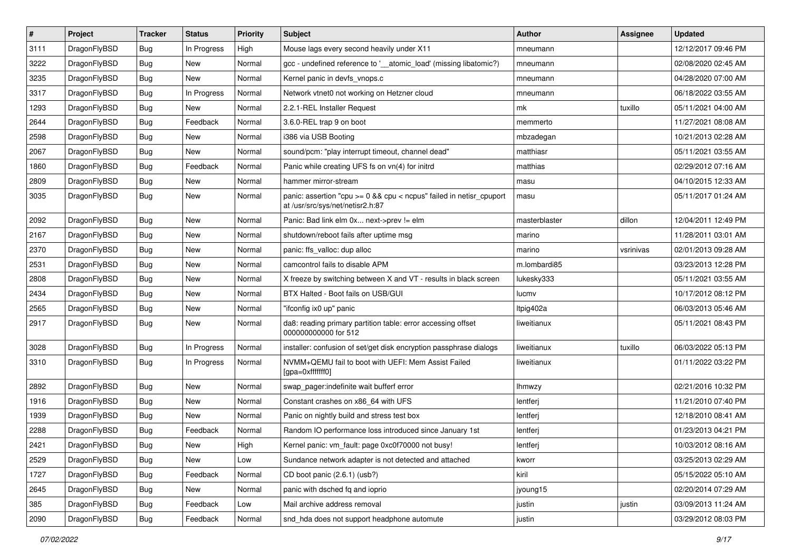| $\sharp$ | Project      | <b>Tracker</b> | <b>Status</b> | <b>Priority</b> | Subject                                                                                                 | <b>Author</b> | Assignee  | <b>Updated</b>      |
|----------|--------------|----------------|---------------|-----------------|---------------------------------------------------------------------------------------------------------|---------------|-----------|---------------------|
| 3111     | DragonFlyBSD | Bug            | In Progress   | High            | Mouse lags every second heavily under X11                                                               | mneumann      |           | 12/12/2017 09:46 PM |
| 3222     | DragonFlyBSD | Bug            | <b>New</b>    | Normal          | gcc - undefined reference to '__atomic_load' (missing libatomic?)                                       | mneumann      |           | 02/08/2020 02:45 AM |
| 3235     | DragonFlyBSD | Bug            | New           | Normal          | Kernel panic in devfs vnops.c                                                                           | mneumann      |           | 04/28/2020 07:00 AM |
| 3317     | DragonFlyBSD | Bug            | In Progress   | Normal          | Network vtnet0 not working on Hetzner cloud                                                             | mneumann      |           | 06/18/2022 03:55 AM |
| 1293     | DragonFlyBSD | Bug            | <b>New</b>    | Normal          | 2.2.1-REL Installer Request                                                                             | mk            | tuxillo   | 05/11/2021 04:00 AM |
| 2644     | DragonFlyBSD | Bug            | Feedback      | Normal          | 3.6.0-REL trap 9 on boot                                                                                | memmerto      |           | 11/27/2021 08:08 AM |
| 2598     | DragonFlyBSD | Bug            | New           | Normal          | i386 via USB Booting                                                                                    | mbzadegan     |           | 10/21/2013 02:28 AM |
| 2067     | DragonFlyBSD | Bug            | New           | Normal          | sound/pcm: "play interrupt timeout, channel dead"                                                       | matthiasr     |           | 05/11/2021 03:55 AM |
| 1860     | DragonFlyBSD | Bug            | Feedback      | Normal          | Panic while creating UFS fs on vn(4) for initrd                                                         | matthias      |           | 02/29/2012 07:16 AM |
| 2809     | DragonFlyBSD | <b>Bug</b>     | New           | Normal          | hammer mirror-stream                                                                                    | masu          |           | 04/10/2015 12:33 AM |
| 3035     | DragonFlyBSD | <b>Bug</b>     | New           | Normal          | panic: assertion "cpu >= 0 && cpu < ncpus" failed in netisr_cpuport<br>at /usr/src/sys/net/netisr2.h:87 | masu          |           | 05/11/2017 01:24 AM |
| 2092     | DragonFlyBSD | <b>Bug</b>     | <b>New</b>    | Normal          | Panic: Bad link elm 0x next->prev != elm                                                                | masterblaster | dillon    | 12/04/2011 12:49 PM |
| 2167     | DragonFlyBSD | <b>Bug</b>     | <b>New</b>    | Normal          | shutdown/reboot fails after uptime msg                                                                  | marino        |           | 11/28/2011 03:01 AM |
| 2370     | DragonFlyBSD | <b>Bug</b>     | New           | Normal          | panic: ffs_valloc: dup alloc                                                                            | marino        | vsrinivas | 02/01/2013 09:28 AM |
| 2531     | DragonFlyBSD | <b>Bug</b>     | <b>New</b>    | Normal          | camcontrol fails to disable APM                                                                         | m.lombardi85  |           | 03/23/2013 12:28 PM |
| 2808     | DragonFlyBSD | <b>Bug</b>     | New           | Normal          | X freeze by switching between X and VT - results in black screen                                        | lukesky333    |           | 05/11/2021 03:55 AM |
| 2434     | DragonFlyBSD | <b>Bug</b>     | New           | Normal          | BTX Halted - Boot fails on USB/GUI                                                                      | lucmv         |           | 10/17/2012 08:12 PM |
| 2565     | DragonFlyBSD | <b>Bug</b>     | New           | Normal          | "ifconfig ix0 up" panic                                                                                 | Itpig402a     |           | 06/03/2013 05:46 AM |
| 2917     | DragonFlyBSD | <b>Bug</b>     | <b>New</b>    | Normal          | da8: reading primary partition table: error accessing offset<br>000000000000 for 512                    | liweitianux   |           | 05/11/2021 08:43 PM |
| 3028     | DragonFlyBSD | <b>Bug</b>     | In Progress   | Normal          | installer: confusion of set/get disk encryption passphrase dialogs                                      | liweitianux   | tuxillo   | 06/03/2022 05:13 PM |
| 3310     | DragonFlyBSD | <b>Bug</b>     | In Progress   | Normal          | NVMM+QEMU fail to boot with UEFI: Mem Assist Failed<br>[gpa=0xfffffff0]                                 | liweitianux   |           | 01/11/2022 03:22 PM |
| 2892     | DragonFlyBSD | <b>Bug</b>     | New           | Normal          | swap_pager:indefinite wait bufferf error                                                                | lhmwzy        |           | 02/21/2016 10:32 PM |
| 1916     | DragonFlyBSD | <b>Bug</b>     | <b>New</b>    | Normal          | Constant crashes on x86_64 with UFS                                                                     | lentferj      |           | 11/21/2010 07:40 PM |
| 1939     | DragonFlyBSD | <b>Bug</b>     | New           | Normal          | Panic on nightly build and stress test box                                                              | lentferj      |           | 12/18/2010 08:41 AM |
| 2288     | DragonFlyBSD | <b>Bug</b>     | Feedback      | Normal          | Random IO performance loss introduced since January 1st                                                 | lentferj      |           | 01/23/2013 04:21 PM |
| 2421     | DragonFlyBSD | Bug            | New           | High            | Kernel panic: vm_fault: page 0xc0f70000 not busy!                                                       | lentferj      |           | 10/03/2012 08:16 AM |
| 2529     | DragonFlyBSD | <b>Bug</b>     | New           | Low             | Sundance network adapter is not detected and attached                                                   | kworr         |           | 03/25/2013 02:29 AM |
| 1727     | DragonFlyBSD | Bug            | Feedback      | Normal          | CD boot panic (2.6.1) (usb?)                                                                            | kiril         |           | 05/15/2022 05:10 AM |
| 2645     | DragonFlyBSD | <b>Bug</b>     | New           | Normal          | panic with dsched fq and ioprio                                                                         | jyoung15      |           | 02/20/2014 07:29 AM |
| 385      | DragonFlyBSD | <b>Bug</b>     | Feedback      | Low             | Mail archive address removal                                                                            | justin        | justin    | 03/09/2013 11:24 AM |
| 2090     | DragonFlyBSD | <b>Bug</b>     | Feedback      | Normal          | snd_hda does not support headphone automute                                                             | justin        |           | 03/29/2012 08:03 PM |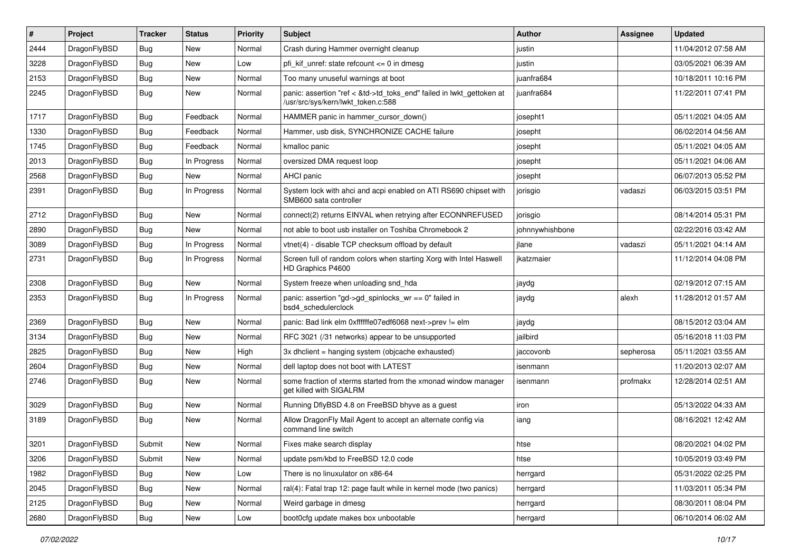| #    | Project      | <b>Tracker</b> | <b>Status</b> | <b>Priority</b> | Subject                                                                                                    | Author          | Assignee  | <b>Updated</b>      |
|------|--------------|----------------|---------------|-----------------|------------------------------------------------------------------------------------------------------------|-----------------|-----------|---------------------|
| 2444 | DragonFlyBSD | Bug            | <b>New</b>    | Normal          | Crash during Hammer overnight cleanup                                                                      | justin          |           | 11/04/2012 07:58 AM |
| 3228 | DragonFlyBSD | Bug            | <b>New</b>    | Low             | pfi_kif_unref: state refcount <= 0 in dmesg                                                                | justin          |           | 03/05/2021 06:39 AM |
| 2153 | DragonFlyBSD | <b>Bug</b>     | New           | Normal          | Too many unuseful warnings at boot                                                                         | juanfra684      |           | 10/18/2011 10:16 PM |
| 2245 | DragonFlyBSD | Bug            | New           | Normal          | panic: assertion "ref < &td->td_toks_end" failed in lwkt_gettoken at<br>/usr/src/sys/kern/lwkt_token.c:588 | juanfra684      |           | 11/22/2011 07:41 PM |
| 1717 | DragonFlyBSD | <b>Bug</b>     | Feedback      | Normal          | HAMMER panic in hammer cursor down()                                                                       | josepht1        |           | 05/11/2021 04:05 AM |
| 1330 | DragonFlyBSD | <b>Bug</b>     | Feedback      | Normal          | Hammer, usb disk, SYNCHRONIZE CACHE failure                                                                | josepht         |           | 06/02/2014 04:56 AM |
| 1745 | DragonFlyBSD | <b>Bug</b>     | Feedback      | Normal          | kmalloc panic                                                                                              | josepht         |           | 05/11/2021 04:05 AM |
| 2013 | DragonFlyBSD | <b>Bug</b>     | In Progress   | Normal          | oversized DMA request loop                                                                                 | josepht         |           | 05/11/2021 04:06 AM |
| 2568 | DragonFlyBSD | Bug            | New           | Normal          | AHCI panic                                                                                                 | josepht         |           | 06/07/2013 05:52 PM |
| 2391 | DragonFlyBSD | Bug            | In Progress   | Normal          | System lock with ahci and acpi enabled on ATI RS690 chipset with<br>SMB600 sata controller                 | jorisgio        | vadaszi   | 06/03/2015 03:51 PM |
| 2712 | DragonFlyBSD | Bug            | New           | Normal          | connect(2) returns EINVAL when retrying after ECONNREFUSED                                                 | jorisgio        |           | 08/14/2014 05:31 PM |
| 2890 | DragonFlyBSD | Bug            | New           | Normal          | not able to boot usb installer on Toshiba Chromebook 2                                                     | johnnywhishbone |           | 02/22/2016 03:42 AM |
| 3089 | DragonFlyBSD | Bug            | In Progress   | Normal          | vtnet(4) - disable TCP checksum offload by default                                                         | jlane           | vadaszi   | 05/11/2021 04:14 AM |
| 2731 | DragonFlyBSD | <b>Bug</b>     | In Progress   | Normal          | Screen full of random colors when starting Xorg with Intel Haswell<br>HD Graphics P4600                    | jkatzmaier      |           | 11/12/2014 04:08 PM |
| 2308 | DragonFlyBSD | Bug            | <b>New</b>    | Normal          | System freeze when unloading snd_hda                                                                       | jaydg           |           | 02/19/2012 07:15 AM |
| 2353 | DragonFlyBSD | <b>Bug</b>     | In Progress   | Normal          | panic: assertion "gd->gd spinlocks $wr == 0$ " failed in<br>bsd4 schedulerclock                            | jaydg           | alexh     | 11/28/2012 01:57 AM |
| 2369 | DragonFlyBSD | Bug            | New           | Normal          | panic: Bad link elm 0xffffffe07edf6068 next->prev != elm                                                   | jaydg           |           | 08/15/2012 03:04 AM |
| 3134 | DragonFlyBSD | Bug            | <b>New</b>    | Normal          | RFC 3021 (/31 networks) appear to be unsupported                                                           | jailbird        |           | 05/16/2018 11:03 PM |
| 2825 | DragonFlyBSD | <b>Bug</b>     | <b>New</b>    | High            | 3x dhclient = hanging system (objcache exhausted)                                                          | jaccovonb       | sepherosa | 05/11/2021 03:55 AM |
| 2604 | DragonFlyBSD | <b>Bug</b>     | New           | Normal          | dell laptop does not boot with LATEST                                                                      | isenmann        |           | 11/20/2013 02:07 AM |
| 2746 | DragonFlyBSD | Bug            | New           | Normal          | some fraction of xterms started from the xmonad window manager<br>get killed with SIGALRM                  | isenmann        | profmakx  | 12/28/2014 02:51 AM |
| 3029 | DragonFlyBSD | <b>Bug</b>     | <b>New</b>    | Normal          | Running DflyBSD 4.8 on FreeBSD bhyve as a guest                                                            | iron            |           | 05/13/2022 04:33 AM |
| 3189 | DragonFlyBSD | Bug            | New           | Normal          | Allow DragonFly Mail Agent to accept an alternate config via<br>command line switch                        | iang            |           | 08/16/2021 12:42 AM |
| 3201 | DragonFlyBSD | Submit         | New           | Normal          | Fixes make search display                                                                                  | htse            |           | 08/20/2021 04:02 PM |
| 3206 | DragonFlyBSD | Submit         | New           | Normal          | update psm/kbd to FreeBSD 12.0 code                                                                        | htse            |           | 10/05/2019 03:49 PM |
| 1982 | DragonFlyBSD | <b>Bug</b>     | New           | Low             | There is no linuxulator on x86-64                                                                          | herrgard        |           | 05/31/2022 02:25 PM |
| 2045 | DragonFlyBSD | <b>Bug</b>     | New           | Normal          | ral(4): Fatal trap 12: page fault while in kernel mode (two panics)                                        | herrgard        |           | 11/03/2011 05:34 PM |
| 2125 | DragonFlyBSD | <b>Bug</b>     | New           | Normal          | Weird garbage in dmesg                                                                                     | herrgard        |           | 08/30/2011 08:04 PM |
| 2680 | DragonFlyBSD | Bug            | New           | Low             | boot0cfg update makes box unbootable                                                                       | herrgard        |           | 06/10/2014 06:02 AM |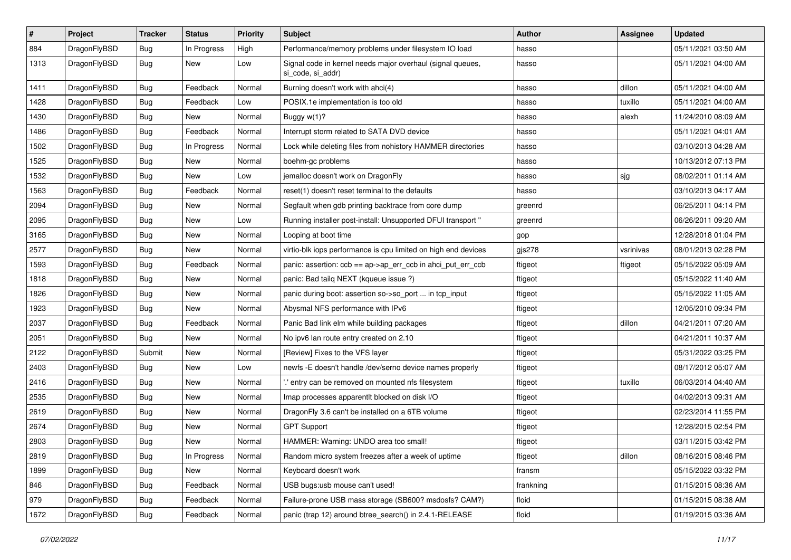| $\vert$ # | Project      | <b>Tracker</b> | <b>Status</b> | <b>Priority</b> | Subject                                                                         | Author    | <b>Assignee</b> | <b>Updated</b>      |
|-----------|--------------|----------------|---------------|-----------------|---------------------------------------------------------------------------------|-----------|-----------------|---------------------|
| 884       | DragonFlyBSD | <b>Bug</b>     | In Progress   | High            | Performance/memory problems under filesystem IO load                            | hasso     |                 | 05/11/2021 03:50 AM |
| 1313      | DragonFlyBSD | Bug            | New           | Low             | Signal code in kernel needs major overhaul (signal queues,<br>si code, si addr) | hasso     |                 | 05/11/2021 04:00 AM |
| 1411      | DragonFlyBSD | Bug            | Feedback      | Normal          | Burning doesn't work with ahci(4)                                               | hasso     | dillon          | 05/11/2021 04:00 AM |
| 1428      | DragonFlyBSD | <b>Bug</b>     | Feedback      | Low             | POSIX.1e implementation is too old                                              | hasso     | tuxillo         | 05/11/2021 04:00 AM |
| 1430      | DragonFlyBSD | <b>Bug</b>     | New           | Normal          | Buggy w(1)?                                                                     | hasso     | alexh           | 11/24/2010 08:09 AM |
| 1486      | DragonFlyBSD | <b>Bug</b>     | Feedback      | Normal          | Interrupt storm related to SATA DVD device                                      | hasso     |                 | 05/11/2021 04:01 AM |
| 1502      | DragonFlyBSD | <b>Bug</b>     | In Progress   | Normal          | Lock while deleting files from nohistory HAMMER directories                     | hasso     |                 | 03/10/2013 04:28 AM |
| 1525      | DragonFlyBSD | Bug            | <b>New</b>    | Normal          | boehm-gc problems                                                               | hasso     |                 | 10/13/2012 07:13 PM |
| 1532      | DragonFlyBSD | Bug            | New           | Low             | jemalloc doesn't work on DragonFly                                              | hasso     | sjg             | 08/02/2011 01:14 AM |
| 1563      | DragonFlyBSD | <b>Bug</b>     | Feedback      | Normal          | reset(1) doesn't reset terminal to the defaults                                 | hasso     |                 | 03/10/2013 04:17 AM |
| 2094      | DragonFlyBSD | Bug            | <b>New</b>    | Normal          | Segfault when gdb printing backtrace from core dump                             | greenrd   |                 | 06/25/2011 04:14 PM |
| 2095      | DragonFlyBSD | <b>Bug</b>     | New           | Low             | Running installer post-install: Unsupported DFUI transport "                    | greenrd   |                 | 06/26/2011 09:20 AM |
| 3165      | DragonFlyBSD | Bug            | New           | Normal          | Looping at boot time                                                            | gop       |                 | 12/28/2018 01:04 PM |
| 2577      | DragonFlyBSD | <b>Bug</b>     | New           | Normal          | virtio-blk iops performance is cpu limited on high end devices                  | gjs278    | vsrinivas       | 08/01/2013 02:28 PM |
| 1593      | DragonFlyBSD | <b>Bug</b>     | Feedback      | Normal          | panic: assertion: ccb == ap->ap_err_ccb in ahci_put_err_ccb                     | ftigeot   | ftigeot         | 05/15/2022 05:09 AM |
| 1818      | DragonFlyBSD | Bug            | New           | Normal          | panic: Bad tailg NEXT (kgueue issue ?)                                          | ftigeot   |                 | 05/15/2022 11:40 AM |
| 1826      | DragonFlyBSD | Bug            | <b>New</b>    | Normal          | panic during boot: assertion so->so_port  in tcp_input                          | ftigeot   |                 | 05/15/2022 11:05 AM |
| 1923      | DragonFlyBSD | <b>Bug</b>     | New           | Normal          | Abysmal NFS performance with IPv6                                               | ftigeot   |                 | 12/05/2010 09:34 PM |
| 2037      | DragonFlyBSD | <b>Bug</b>     | Feedback      | Normal          | Panic Bad link elm while building packages                                      | ftigeot   | dillon          | 04/21/2011 07:20 AM |
| 2051      | DragonFlyBSD | <b>Bug</b>     | <b>New</b>    | Normal          | No ipv6 lan route entry created on 2.10                                         | ftigeot   |                 | 04/21/2011 10:37 AM |
| 2122      | DragonFlyBSD | Submit         | <b>New</b>    | Normal          | [Review] Fixes to the VFS layer                                                 | ftigeot   |                 | 05/31/2022 03:25 PM |
| 2403      | DragonFlyBSD | Bug            | <b>New</b>    | Low             | newfs -E doesn't handle /dev/serno device names properly                        | ftigeot   |                 | 08/17/2012 05:07 AM |
| 2416      | DragonFlyBSD | Bug            | New           | Normal          | ".' entry can be removed on mounted nfs filesystem                              | ftigeot   | tuxillo         | 06/03/2014 04:40 AM |
| 2535      | DragonFlyBSD | Bug            | <b>New</b>    | Normal          | Imap processes apparentlt blocked on disk I/O                                   | ftigeot   |                 | 04/02/2013 09:31 AM |
| 2619      | DragonFlyBSD | Bug            | <b>New</b>    | Normal          | DragonFly 3.6 can't be installed on a 6TB volume                                | ftigeot   |                 | 02/23/2014 11:55 PM |
| 2674      | DragonFlyBSD | Bug            | New           | Normal          | <b>GPT Support</b>                                                              | ftigeot   |                 | 12/28/2015 02:54 PM |
| 2803      | DragonFlyBSD | <b>Bug</b>     | <b>New</b>    | Normal          | HAMMER: Warning: UNDO area too small!                                           | ftigeot   |                 | 03/11/2015 03:42 PM |
| 2819      | DragonFlyBSD | Bug            | In Progress   | Normal          | Random micro system freezes after a week of uptime                              | ftigeot   | dillon          | 08/16/2015 08:46 PM |
| 1899      | DragonFlyBSD | <b>Bug</b>     | New           | Normal          | Keyboard doesn't work                                                           | fransm    |                 | 05/15/2022 03:32 PM |
| 846       | DragonFlyBSD | <b>Bug</b>     | Feedback      | Normal          | USB bugs:usb mouse can't used!                                                  | frankning |                 | 01/15/2015 08:36 AM |
| 979       | DragonFlyBSD | <b>Bug</b>     | Feedback      | Normal          | Failure-prone USB mass storage (SB600? msdosfs? CAM?)                           | floid     |                 | 01/15/2015 08:38 AM |
| 1672      | DragonFlyBSD | <b>Bug</b>     | Feedback      | Normal          | panic (trap 12) around btree_search() in 2.4.1-RELEASE                          | floid     |                 | 01/19/2015 03:36 AM |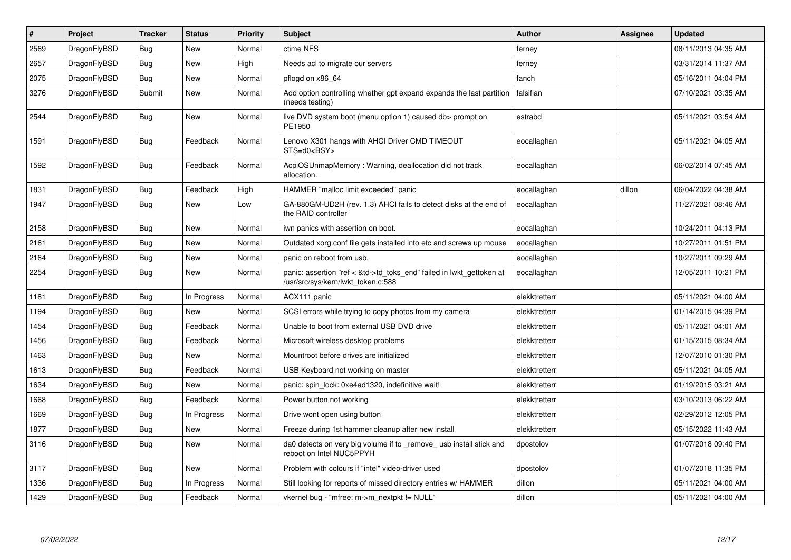| $\sharp$ | Project      | <b>Tracker</b> | <b>Status</b> | <b>Priority</b> | <b>Subject</b>                                                                                             | <b>Author</b> | Assignee | <b>Updated</b>      |
|----------|--------------|----------------|---------------|-----------------|------------------------------------------------------------------------------------------------------------|---------------|----------|---------------------|
| 2569     | DragonFlyBSD | Bug            | <b>New</b>    | Normal          | ctime NFS                                                                                                  | ferney        |          | 08/11/2013 04:35 AM |
| 2657     | DragonFlyBSD | Bug            | <b>New</b>    | High            | Needs acl to migrate our servers                                                                           | ferney        |          | 03/31/2014 11:37 AM |
| 2075     | DragonFlyBSD | Bug            | New           | Normal          | pflogd on x86 64                                                                                           | fanch         |          | 05/16/2011 04:04 PM |
| 3276     | DragonFlyBSD | Submit         | New           | Normal          | Add option controlling whether gpt expand expands the last partition<br>(needs testing)                    | falsifian     |          | 07/10/2021 03:35 AM |
| 2544     | DragonFlyBSD | Bug            | <b>New</b>    | Normal          | live DVD system boot (menu option 1) caused db> prompt on<br>PE1950                                        | estrabd       |          | 05/11/2021 03:54 AM |
| 1591     | DragonFlyBSD | <b>Bug</b>     | Feedback      | Normal          | Lenovo X301 hangs with AHCI Driver CMD TIMEOUT<br>STS=d0 <bsy></bsy>                                       | eocallaghan   |          | 05/11/2021 04:05 AM |
| 1592     | DragonFlyBSD | Bug            | Feedback      | Normal          | AcpiOSUnmapMemory: Warning, deallocation did not track<br>allocation.                                      | eocallaghan   |          | 06/02/2014 07:45 AM |
| 1831     | DragonFlyBSD | Bug            | Feedback      | High            | HAMMER "malloc limit exceeded" panic                                                                       | eocallaghan   | dillon   | 06/04/2022 04:38 AM |
| 1947     | DragonFlyBSD | Bug            | <b>New</b>    | Low             | GA-880GM-UD2H (rev. 1.3) AHCI fails to detect disks at the end of<br>the RAID controller                   | eocallaghan   |          | 11/27/2021 08:46 AM |
| 2158     | DragonFlyBSD | <b>Bug</b>     | <b>New</b>    | Normal          | iwn panics with assertion on boot.                                                                         | eocallaghan   |          | 10/24/2011 04:13 PM |
| 2161     | DragonFlyBSD | Bug            | New           | Normal          | Outdated xorg.conf file gets installed into etc and screws up mouse                                        | eocallaghan   |          | 10/27/2011 01:51 PM |
| 2164     | DragonFlyBSD | Bug            | New           | Normal          | panic on reboot from usb.                                                                                  | eocallaghan   |          | 10/27/2011 09:29 AM |
| 2254     | DragonFlyBSD | <b>Bug</b>     | <b>New</b>    | Normal          | panic: assertion "ref < &td->td_toks_end" failed in lwkt_gettoken at<br>/usr/src/sys/kern/lwkt_token.c:588 | eocallaghan   |          | 12/05/2011 10:21 PM |
| 1181     | DragonFlyBSD | Bug            | In Progress   | Normal          | ACX111 panic                                                                                               | elekktretterr |          | 05/11/2021 04:00 AM |
| 1194     | DragonFlyBSD | Bug            | New           | Normal          | SCSI errors while trying to copy photos from my camera                                                     | elekktretterr |          | 01/14/2015 04:39 PM |
| 1454     | DragonFlyBSD | Bug            | Feedback      | Normal          | Unable to boot from external USB DVD drive                                                                 | elekktretterr |          | 05/11/2021 04:01 AM |
| 1456     | DragonFlyBSD | <b>Bug</b>     | Feedback      | Normal          | Microsoft wireless desktop problems                                                                        | elekktretterr |          | 01/15/2015 08:34 AM |
| 1463     | DragonFlyBSD | <b>Bug</b>     | <b>New</b>    | Normal          | Mountroot before drives are initialized                                                                    | elekktretterr |          | 12/07/2010 01:30 PM |
| 1613     | DragonFlyBSD | <b>Bug</b>     | Feedback      | Normal          | USB Keyboard not working on master                                                                         | elekktretterr |          | 05/11/2021 04:05 AM |
| 1634     | DragonFlyBSD | <b>Bug</b>     | <b>New</b>    | Normal          | panic: spin lock: 0xe4ad1320, indefinitive wait!                                                           | elekktretterr |          | 01/19/2015 03:21 AM |
| 1668     | DragonFlyBSD | Bug            | Feedback      | Normal          | Power button not working                                                                                   | elekktretterr |          | 03/10/2013 06:22 AM |
| 1669     | DragonFlyBSD | <b>Bug</b>     | In Progress   | Normal          | Drive wont open using button                                                                               | elekktretterr |          | 02/29/2012 12:05 PM |
| 1877     | DragonFlyBSD | Bug            | New           | Normal          | Freeze during 1st hammer cleanup after new install                                                         | elekktretterr |          | 05/15/2022 11:43 AM |
| 3116     | DragonFlyBSD | Bug            | New           | Normal          | da0 detects on very big volume if to remove usb install stick and<br>reboot on Intel NUC5PPYH              | dpostolov     |          | 01/07/2018 09:40 PM |
| 3117     | DragonFlyBSD | Bug            | <b>New</b>    | Normal          | Problem with colours if "intel" video-driver used                                                          | dpostolov     |          | 01/07/2018 11:35 PM |
| 1336     | DragonFlyBSD | Bug            | In Progress   | Normal          | Still looking for reports of missed directory entries w/ HAMMER                                            | dillon        |          | 05/11/2021 04:00 AM |
| 1429     | DragonFlyBSD | <b>Bug</b>     | Feedback      | Normal          | vkernel bug - "mfree: m->m_nextpkt != NULL"                                                                | dillon        |          | 05/11/2021 04:00 AM |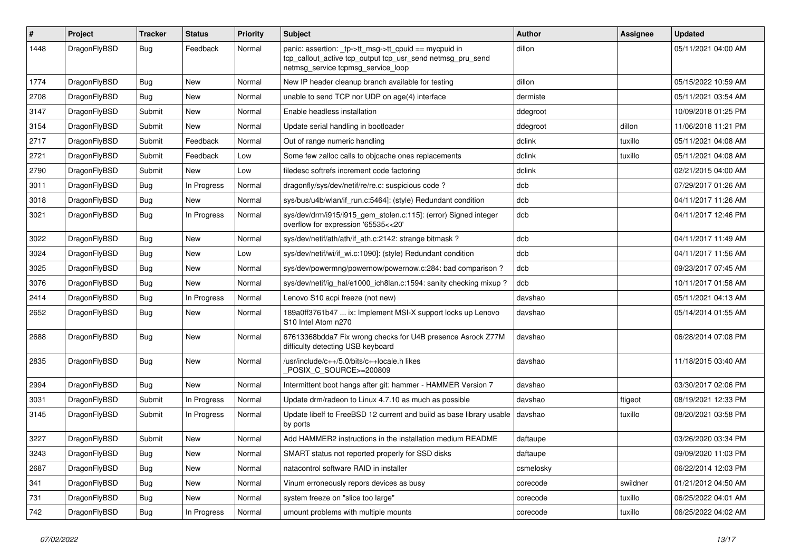| #    | Project      | <b>Tracker</b> | <b>Status</b> | <b>Priority</b> | Subject                                                                                                                                                   | <b>Author</b> | Assignee | <b>Updated</b>      |
|------|--------------|----------------|---------------|-----------------|-----------------------------------------------------------------------------------------------------------------------------------------------------------|---------------|----------|---------------------|
| 1448 | DragonFlyBSD | Bug            | Feedback      | Normal          | panic: assertion: _tp->tt_msg->tt_cpuid == mycpuid in<br>tcp_callout_active tcp_output tcp_usr_send netmsg_pru_send<br>netmsg_service tcpmsg_service_loop | dillon        |          | 05/11/2021 04:00 AM |
| 1774 | DragonFlyBSD | Bug            | <b>New</b>    | Normal          | New IP header cleanup branch available for testing                                                                                                        | dillon        |          | 05/15/2022 10:59 AM |
| 2708 | DragonFlyBSD | Bug            | <b>New</b>    | Normal          | unable to send TCP nor UDP on age(4) interface                                                                                                            | dermiste      |          | 05/11/2021 03:54 AM |
| 3147 | DragonFlyBSD | Submit         | <b>New</b>    | Normal          | Enable headless installation                                                                                                                              | ddegroot      |          | 10/09/2018 01:25 PM |
| 3154 | DragonFlyBSD | Submit         | <b>New</b>    | Normal          | Update serial handling in bootloader                                                                                                                      | ddegroot      | dillon   | 11/06/2018 11:21 PM |
| 2717 | DragonFlyBSD | Submit         | Feedback      | Normal          | Out of range numeric handling                                                                                                                             | dclink        | tuxillo  | 05/11/2021 04:08 AM |
| 2721 | DragonFlyBSD | Submit         | Feedback      | Low             | Some few zalloc calls to objcache ones replacements                                                                                                       | dclink        | tuxillo  | 05/11/2021 04:08 AM |
| 2790 | DragonFlyBSD | Submit         | <b>New</b>    | Low             | filedesc softrefs increment code factoring                                                                                                                | dclink        |          | 02/21/2015 04:00 AM |
| 3011 | DragonFlyBSD | <b>Bug</b>     | In Progress   | Normal          | dragonfly/sys/dev/netif/re/re.c: suspicious code?                                                                                                         | dcb           |          | 07/29/2017 01:26 AM |
| 3018 | DragonFlyBSD | Bug            | <b>New</b>    | Normal          | sys/bus/u4b/wlan/if_run.c:5464]: (style) Redundant condition                                                                                              | dcb           |          | 04/11/2017 11:26 AM |
| 3021 | DragonFlyBSD | Bug            | In Progress   | Normal          | sys/dev/drm/i915/i915_gem_stolen.c:115]: (error) Signed integer<br>overflow for expression '65535<<20'                                                    | dcb           |          | 04/11/2017 12:46 PM |
| 3022 | DragonFlyBSD | Bug            | <b>New</b>    | Normal          | sys/dev/netif/ath/ath/if_ath.c:2142: strange bitmask?                                                                                                     | dcb           |          | 04/11/2017 11:49 AM |
| 3024 | DragonFlyBSD | <b>Bug</b>     | New           | Low             | sys/dev/netif/wi/if_wi.c:1090]: (style) Redundant condition                                                                                               | dcb           |          | 04/11/2017 11:56 AM |
| 3025 | DragonFlyBSD | <b>Bug</b>     | <b>New</b>    | Normal          | sys/dev/powermng/powernow/powernow.c:284: bad comparison?                                                                                                 | dcb           |          | 09/23/2017 07:45 AM |
| 3076 | DragonFlyBSD | Bug            | <b>New</b>    | Normal          | sys/dev/netif/ig_hal/e1000_ich8lan.c:1594: sanity checking mixup ?                                                                                        | dcb           |          | 10/11/2017 01:58 AM |
| 2414 | DragonFlyBSD | <b>Bug</b>     | In Progress   | Normal          | Lenovo S10 acpi freeze (not new)                                                                                                                          | davshao       |          | 05/11/2021 04:13 AM |
| 2652 | DragonFlyBSD | Bug            | <b>New</b>    | Normal          | 189a0ff3761b47  ix: Implement MSI-X support locks up Lenovo<br>S10 Intel Atom n270                                                                        | davshao       |          | 05/14/2014 01:55 AM |
| 2688 | DragonFlyBSD | <b>Bug</b>     | <b>New</b>    | Normal          | 67613368bdda7 Fix wrong checks for U4B presence Asrock Z77M<br>difficulty detecting USB keyboard                                                          | davshao       |          | 06/28/2014 07:08 PM |
| 2835 | DragonFlyBSD | Bug            | New           | Normal          | /usr/include/c++/5.0/bits/c++locale.h likes<br>POSIX C_SOURCE>=200809                                                                                     | davshao       |          | 11/18/2015 03:40 AM |
| 2994 | DragonFlyBSD | <b>Bug</b>     | <b>New</b>    | Normal          | Intermittent boot hangs after git: hammer - HAMMER Version 7                                                                                              | davshao       |          | 03/30/2017 02:06 PM |
| 3031 | DragonFlyBSD | Submit         | In Progress   | Normal          | Update drm/radeon to Linux 4.7.10 as much as possible                                                                                                     | davshao       | ftigeot  | 08/19/2021 12:33 PM |
| 3145 | DragonFlyBSD | Submit         | In Progress   | Normal          | Update libelf to FreeBSD 12 current and build as base library usable<br>by ports                                                                          | davshao       | tuxillo  | 08/20/2021 03:58 PM |
| 3227 | DragonFlyBSD | Submit         | New           | Normal          | Add HAMMER2 instructions in the installation medium README                                                                                                | daftaupe      |          | 03/26/2020 03:34 PM |
| 3243 | DragonFlyBSD | Bug            | <b>New</b>    | Normal          | SMART status not reported properly for SSD disks                                                                                                          | daftaupe      |          | 09/09/2020 11:03 PM |
| 2687 | DragonFlyBSD | Bug            | New           | Normal          | natacontrol software RAID in installer                                                                                                                    | csmelosky     |          | 06/22/2014 12:03 PM |
| 341  | DragonFlyBSD | <b>Bug</b>     | New           | Normal          | Vinum erroneously repors devices as busy                                                                                                                  | corecode      | swildner | 01/21/2012 04:50 AM |
| 731  | DragonFlyBSD | <b>Bug</b>     | New           | Normal          | system freeze on "slice too large"                                                                                                                        | corecode      | tuxillo  | 06/25/2022 04:01 AM |
| 742  | DragonFlyBSD | <b>Bug</b>     | In Progress   | Normal          | umount problems with multiple mounts                                                                                                                      | corecode      | tuxillo  | 06/25/2022 04:02 AM |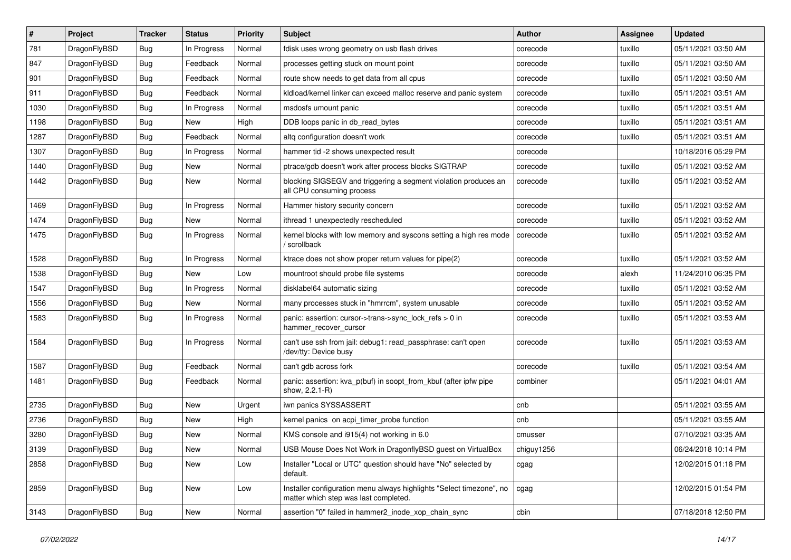| $\#$ | Project      | <b>Tracker</b> | <b>Status</b> | <b>Priority</b> | Subject                                                                                                       | <b>Author</b> | Assignee | <b>Updated</b>      |
|------|--------------|----------------|---------------|-----------------|---------------------------------------------------------------------------------------------------------------|---------------|----------|---------------------|
| 781  | DragonFlyBSD | <b>Bug</b>     | In Progress   | Normal          | fdisk uses wrong geometry on usb flash drives                                                                 | corecode      | tuxillo  | 05/11/2021 03:50 AM |
| 847  | DragonFlyBSD | Bug            | Feedback      | Normal          | processes getting stuck on mount point                                                                        | corecode      | tuxillo  | 05/11/2021 03:50 AM |
| 901  | DragonFlyBSD | Bug            | Feedback      | Normal          | route show needs to get data from all cpus                                                                    | corecode      | tuxillo  | 05/11/2021 03:50 AM |
| 911  | DragonFlyBSD | Bug            | Feedback      | Normal          | kldload/kernel linker can exceed malloc reserve and panic system                                              | corecode      | tuxillo  | 05/11/2021 03:51 AM |
| 1030 | DragonFlyBSD | <b>Bug</b>     | In Progress   | Normal          | msdosfs umount panic                                                                                          | corecode      | tuxillo  | 05/11/2021 03:51 AM |
| 1198 | DragonFlyBSD | <b>Bug</b>     | New           | High            | DDB loops panic in db_read_bytes                                                                              | corecode      | tuxillo  | 05/11/2021 03:51 AM |
| 1287 | DragonFlyBSD | <b>Bug</b>     | Feedback      | Normal          | altg configuration doesn't work                                                                               | corecode      | tuxillo  | 05/11/2021 03:51 AM |
| 1307 | DragonFlyBSD | Bug            | In Progress   | Normal          | hammer tid -2 shows unexpected result                                                                         | corecode      |          | 10/18/2016 05:29 PM |
| 1440 | DragonFlyBSD | Bug            | New           | Normal          | ptrace/gdb doesn't work after process blocks SIGTRAP                                                          | corecode      | tuxillo  | 05/11/2021 03:52 AM |
| 1442 | DragonFlyBSD | Bug            | New           | Normal          | blocking SIGSEGV and triggering a segment violation produces an<br>all CPU consuming process                  | corecode      | tuxillo  | 05/11/2021 03:52 AM |
| 1469 | DragonFlyBSD | <b>Bug</b>     | In Progress   | Normal          | Hammer history security concern                                                                               | corecode      | tuxillo  | 05/11/2021 03:52 AM |
| 1474 | DragonFlyBSD | <b>Bug</b>     | New           | Normal          | ithread 1 unexpectedly rescheduled                                                                            | corecode      | tuxillo  | 05/11/2021 03:52 AM |
| 1475 | DragonFlyBSD | <b>Bug</b>     | In Progress   | Normal          | kernel blocks with low memory and syscons setting a high res mode<br>/ scrollback                             | corecode      | tuxillo  | 05/11/2021 03:52 AM |
| 1528 | DragonFlyBSD | <b>Bug</b>     | In Progress   | Normal          | ktrace does not show proper return values for pipe(2)                                                         | corecode      | tuxillo  | 05/11/2021 03:52 AM |
| 1538 | DragonFlyBSD | <b>Bug</b>     | New           | Low             | mountroot should probe file systems                                                                           | corecode      | alexh    | 11/24/2010 06:35 PM |
| 1547 | DragonFlyBSD | <b>Bug</b>     | In Progress   | Normal          | disklabel64 automatic sizing                                                                                  | corecode      | tuxillo  | 05/11/2021 03:52 AM |
| 1556 | DragonFlyBSD | <b>Bug</b>     | New           | Normal          | many processes stuck in "hmrrcm", system unusable                                                             | corecode      | tuxillo  | 05/11/2021 03:52 AM |
| 1583 | DragonFlyBSD | <b>Bug</b>     | In Progress   | Normal          | panic: assertion: cursor->trans->sync_lock_refs > 0 in<br>hammer recover cursor                               | corecode      | tuxillo  | 05/11/2021 03:53 AM |
| 1584 | DragonFlyBSD | Bug            | In Progress   | Normal          | can't use ssh from jail: debug1: read_passphrase: can't open<br>/dev/tty: Device busy                         | corecode      | tuxillo  | 05/11/2021 03:53 AM |
| 1587 | DragonFlyBSD | Bug            | Feedback      | Normal          | can't gdb across fork                                                                                         | corecode      | tuxillo  | 05/11/2021 03:54 AM |
| 1481 | DragonFlyBSD | <b>Bug</b>     | Feedback      | Normal          | panic: assertion: kva_p(buf) in soopt_from_kbuf (after ipfw pipe<br>show, 2.2.1-R)                            | combiner      |          | 05/11/2021 04:01 AM |
| 2735 | DragonFlyBSD | <b>Bug</b>     | New           | Urgent          | iwn panics SYSSASSERT                                                                                         | cnb           |          | 05/11/2021 03:55 AM |
| 2736 | DragonFlyBSD | <b>Bug</b>     | New           | High            | kernel panics on acpi_timer_probe function                                                                    | cnb           |          | 05/11/2021 03:55 AM |
| 3280 | DragonFlyBSD | Bug            | New           | Normal          | KMS console and i915(4) not working in 6.0                                                                    | cmusser       |          | 07/10/2021 03:35 AM |
| 3139 | DragonFlyBSD | <b>Bug</b>     | I New         | Normal          | USB Mouse Does Not Work in DragonflyBSD guest on VirtualBox                                                   | chiguy1256    |          | 06/24/2018 10:14 PM |
| 2858 | DragonFlyBSD | Bug            | New           | Low             | Installer "Local or UTC" question should have "No" selected by<br>default.                                    | cgag          |          | 12/02/2015 01:18 PM |
| 2859 | DragonFlyBSD | Bug            | New           | Low             | Installer configuration menu always highlights "Select timezone", no<br>matter which step was last completed. | cgag          |          | 12/02/2015 01:54 PM |
| 3143 | DragonFlyBSD | <b>Bug</b>     | New           | Normal          | assertion "0" failed in hammer2 inode xop chain sync                                                          | cbin          |          | 07/18/2018 12:50 PM |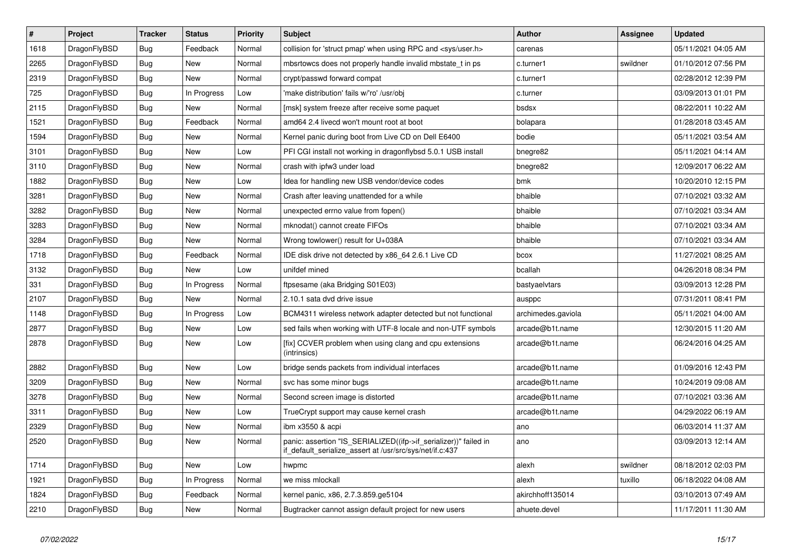| $\vert$ # | <b>Project</b> | <b>Tracker</b> | <b>Status</b> | Priority | <b>Subject</b>                                                                                                               | Author             | Assignee | <b>Updated</b>      |
|-----------|----------------|----------------|---------------|----------|------------------------------------------------------------------------------------------------------------------------------|--------------------|----------|---------------------|
| 1618      | DragonFlyBSD   | Bug            | Feedback      | Normal   | collision for 'struct pmap' when using RPC and <sys user.h=""></sys>                                                         | carenas            |          | 05/11/2021 04:05 AM |
| 2265      | DragonFlyBSD   | Bug            | New           | Normal   | mbsrtowcs does not properly handle invalid mbstate t in ps.                                                                  | c.turner1          | swildner | 01/10/2012 07:56 PM |
| 2319      | DragonFlyBSD   | Bug            | New           | Normal   | crypt/passwd forward compat                                                                                                  | c.turner1          |          | 02/28/2012 12:39 PM |
| 725       | DragonFlyBSD   | <b>Bug</b>     | In Progress   | Low      | 'make distribution' fails w/'ro' /usr/obj                                                                                    | c.turner           |          | 03/09/2013 01:01 PM |
| 2115      | DragonFlyBSD   | <b>Bug</b>     | New           | Normal   | [msk] system freeze after receive some paquet                                                                                | bsdsx              |          | 08/22/2011 10:22 AM |
| 1521      | DragonFlyBSD   | <b>Bug</b>     | Feedback      | Normal   | amd64 2.4 livecd won't mount root at boot                                                                                    | bolapara           |          | 01/28/2018 03:45 AM |
| 1594      | DragonFlyBSD   | <b>Bug</b>     | <b>New</b>    | Normal   | Kernel panic during boot from Live CD on Dell E6400                                                                          | bodie              |          | 05/11/2021 03:54 AM |
| 3101      | DragonFlyBSD   | Bug            | New           | Low      | PFI CGI install not working in dragonflybsd 5.0.1 USB install                                                                | bnegre82           |          | 05/11/2021 04:14 AM |
| 3110      | DragonFlyBSD   | <b>Bug</b>     | <b>New</b>    | Normal   | crash with ipfw3 under load                                                                                                  | bnegre82           |          | 12/09/2017 06:22 AM |
| 1882      | DragonFlyBSD   | Bug            | New           | Low      | Idea for handling new USB vendor/device codes                                                                                | bmk                |          | 10/20/2010 12:15 PM |
| 3281      | DragonFlyBSD   | Bug            | New           | Normal   | Crash after leaving unattended for a while                                                                                   | bhaible            |          | 07/10/2021 03:32 AM |
| 3282      | DragonFlyBSD   | Bug            | New           | Normal   | unexpected errno value from fopen()                                                                                          | bhaible            |          | 07/10/2021 03:34 AM |
| 3283      | DragonFlyBSD   | <b>Bug</b>     | New           | Normal   | mknodat() cannot create FIFOs                                                                                                | bhaible            |          | 07/10/2021 03:34 AM |
| 3284      | DragonFlyBSD   | <b>Bug</b>     | New           | Normal   | Wrong towlower() result for U+038A                                                                                           | bhaible            |          | 07/10/2021 03:34 AM |
| 1718      | DragonFlyBSD   | Bug            | Feedback      | Normal   | IDE disk drive not detected by x86 64 2.6.1 Live CD                                                                          | bcox               |          | 11/27/2021 08:25 AM |
| 3132      | DragonFlyBSD   | <b>Bug</b>     | <b>New</b>    | Low      | unifdef mined                                                                                                                | bcallah            |          | 04/26/2018 08:34 PM |
| 331       | DragonFlyBSD   | <b>Bug</b>     | In Progress   | Normal   | ftpsesame (aka Bridging S01E03)                                                                                              | bastyaelvtars      |          | 03/09/2013 12:28 PM |
| 2107      | DragonFlyBSD   | <b>Bug</b>     | <b>New</b>    | Normal   | 2.10.1 sata dvd drive issue                                                                                                  | ausppc             |          | 07/31/2011 08:41 PM |
| 1148      | DragonFlyBSD   | <b>Bug</b>     | In Progress   | Low      | BCM4311 wireless network adapter detected but not functional                                                                 | archimedes.gaviola |          | 05/11/2021 04:00 AM |
| 2877      | DragonFlyBSD   | Bug            | New           | Low      | sed fails when working with UTF-8 locale and non-UTF symbols                                                                 | arcade@b1t.name    |          | 12/30/2015 11:20 AM |
| 2878      | DragonFlyBSD   | <b>Bug</b>     | <b>New</b>    | Low      | [fix] CCVER problem when using clang and cpu extensions<br>(intrinsics)                                                      | arcade@b1t.name    |          | 06/24/2016 04:25 AM |
| 2882      | DragonFlyBSD   | Bug            | <b>New</b>    | Low      | bridge sends packets from individual interfaces                                                                              | arcade@b1t.name    |          | 01/09/2016 12:43 PM |
| 3209      | DragonFlyBSD   | <b>Bug</b>     | New           | Normal   | svc has some minor bugs                                                                                                      | arcade@b1t.name    |          | 10/24/2019 09:08 AM |
| 3278      | DragonFlyBSD   | <b>Bug</b>     | <b>New</b>    | Normal   | Second screen image is distorted                                                                                             | arcade@b1t.name    |          | 07/10/2021 03:36 AM |
| 3311      | DragonFlyBSD   | <b>Bug</b>     | <b>New</b>    | Low      | TrueCrypt support may cause kernel crash                                                                                     | arcade@b1t.name    |          | 04/29/2022 06:19 AM |
| 2329      | DragonFlyBSD   | Bug            | New           | Normal   | ibm x3550 & acpi                                                                                                             | ano                |          | 06/03/2014 11:37 AM |
| 2520      | DragonFlyBSD   | Bug            | <b>New</b>    | Normal   | panic: assertion "IS SERIALIZED((ifp->if serializer))" failed in<br>if default serialize assert at /usr/src/sys/net/if.c:437 | ano                |          | 03/09/2013 12:14 AM |
| 1714      | DragonFlyBSD   | Bug            | New           | Low      | hwpmc                                                                                                                        | alexh              | swildner | 08/18/2012 02:03 PM |
| 1921      | DragonFlyBSD   | Bug            | In Progress   | Normal   | we miss mlockall                                                                                                             | alexh              | tuxillo  | 06/18/2022 04:08 AM |
| 1824      | DragonFlyBSD   | <b>Bug</b>     | Feedback      | Normal   | kernel panic, x86, 2.7.3.859.ge5104                                                                                          | akirchhoff135014   |          | 03/10/2013 07:49 AM |
| 2210      | DragonFlyBSD   | <b>Bug</b>     | New           | Normal   | Bugtracker cannot assign default project for new users                                                                       | ahuete.devel       |          | 11/17/2011 11:30 AM |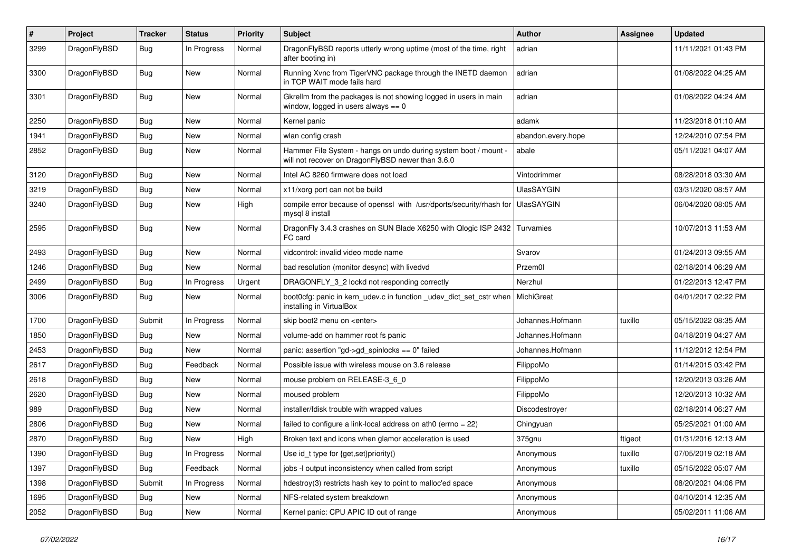| $\#$ | Project      | <b>Tracker</b> | <b>Status</b> | <b>Priority</b> | Subject                                                                                                              | Author             | Assignee | <b>Updated</b>      |
|------|--------------|----------------|---------------|-----------------|----------------------------------------------------------------------------------------------------------------------|--------------------|----------|---------------------|
| 3299 | DragonFlyBSD | <b>Bug</b>     | In Progress   | Normal          | DragonFlyBSD reports utterly wrong uptime (most of the time, right<br>after booting in)                              | adrian             |          | 11/11/2021 01:43 PM |
| 3300 | DragonFlyBSD | <b>Bug</b>     | <b>New</b>    | Normal          | Running Xvnc from TigerVNC package through the INETD daemon<br>in TCP WAIT mode fails hard                           | adrian             |          | 01/08/2022 04:25 AM |
| 3301 | DragonFlyBSD | <b>Bug</b>     | New           | Normal          | Gkrellm from the packages is not showing logged in users in main<br>window, logged in users always $== 0$            | adrian             |          | 01/08/2022 04:24 AM |
| 2250 | DragonFlyBSD | <b>Bug</b>     | <b>New</b>    | Normal          | Kernel panic                                                                                                         | adamk              |          | 11/23/2018 01:10 AM |
| 1941 | DragonFlyBSD | <b>Bug</b>     | <b>New</b>    | Normal          | wlan config crash                                                                                                    | abandon.every.hope |          | 12/24/2010 07:54 PM |
| 2852 | DragonFlyBSD | <b>Bug</b>     | New           | Normal          | Hammer File System - hangs on undo during system boot / mount -<br>will not recover on DragonFlyBSD newer than 3.6.0 | abale              |          | 05/11/2021 04:07 AM |
| 3120 | DragonFlyBSD | Bug            | <b>New</b>    | Normal          | Intel AC 8260 firmware does not load                                                                                 | Vintodrimmer       |          | 08/28/2018 03:30 AM |
| 3219 | DragonFlyBSD | <b>Bug</b>     | New           | Normal          | x11/xorg port can not be build                                                                                       | <b>UlasSAYGIN</b>  |          | 03/31/2020 08:57 AM |
| 3240 | DragonFlyBSD | <b>Bug</b>     | <b>New</b>    | High            | compile error because of openssl with /usr/dports/security/rhash for<br>mysql 8 install                              | UlasSAYGIN         |          | 06/04/2020 08:05 AM |
| 2595 | DragonFlyBSD | Bug            | <b>New</b>    | Normal          | DragonFly 3.4.3 crashes on SUN Blade X6250 with Qlogic ISP 2432 Turvamies<br>FC card                                 |                    |          | 10/07/2013 11:53 AM |
| 2493 | DragonFlyBSD | <b>Bug</b>     | <b>New</b>    | Normal          | vidcontrol: invalid video mode name                                                                                  | Svarov             |          | 01/24/2013 09:55 AM |
| 1246 | DragonFlyBSD | <b>Bug</b>     | <b>New</b>    | Normal          | bad resolution (monitor desync) with livedvd                                                                         | Przem0l            |          | 02/18/2014 06:29 AM |
| 2499 | DragonFlyBSD | <b>Bug</b>     | In Progress   | Urgent          | DRAGONFLY_3_2 lockd not responding correctly                                                                         | Nerzhul            |          | 01/22/2013 12:47 PM |
| 3006 | DragonFlyBSD | <b>Bug</b>     | New           | Normal          | boot0cfg: panic in kern_udev.c in function _udev_dict_set_cstr when<br>installing in VirtualBox                      | MichiGreat         |          | 04/01/2017 02:22 PM |
| 1700 | DragonFlyBSD | Submit         | In Progress   | Normal          | skip boot2 menu on <enter></enter>                                                                                   | Johannes.Hofmann   | tuxillo  | 05/15/2022 08:35 AM |
| 1850 | DragonFlyBSD | Bug            | <b>New</b>    | Normal          | volume-add on hammer root fs panic                                                                                   | Johannes.Hofmann   |          | 04/18/2019 04:27 AM |
| 2453 | DragonFlyBSD | <b>Bug</b>     | New           | Normal          | panic: assertion "gd->gd_spinlocks == 0" failed                                                                      | Johannes.Hofmann   |          | 11/12/2012 12:54 PM |
| 2617 | DragonFlyBSD | <b>Bug</b>     | Feedback      | Normal          | Possible issue with wireless mouse on 3.6 release                                                                    | FilippoMo          |          | 01/14/2015 03:42 PM |
| 2618 | DragonFlyBSD | <b>Bug</b>     | <b>New</b>    | Normal          | mouse problem on RELEASE-3_6_0                                                                                       | FilippoMo          |          | 12/20/2013 03:26 AM |
| 2620 | DragonFlyBSD | <b>Bug</b>     | New           | Normal          | moused problem                                                                                                       | FilippoMo          |          | 12/20/2013 10:32 AM |
| 989  | DragonFlyBSD | <b>Bug</b>     | New           | Normal          | installer/fdisk trouble with wrapped values                                                                          | Discodestroyer     |          | 02/18/2014 06:27 AM |
| 2806 | DragonFlyBSD | <b>Bug</b>     | <b>New</b>    | Normal          | failed to configure a link-local address on ath0 (errno = 22)                                                        | Chingyuan          |          | 05/25/2021 01:00 AM |
| 2870 | DragonFlyBSD | <b>Bug</b>     | <b>New</b>    | High            | Broken text and icons when glamor acceleration is used                                                               | 375gnu             | ftigeot  | 01/31/2016 12:13 AM |
| 1390 | DragonFlyBSD | Bug            | In Progress   | Normal          | Use id_t type for {get,set}priority()                                                                                | Anonymous          | tuxillo  | 07/05/2019 02:18 AM |
| 1397 | DragonFlyBSD | Bug            | Feedback      | Normal          | jobs -I output inconsistency when called from script                                                                 | Anonymous          | tuxillo  | 05/15/2022 05:07 AM |
| 1398 | DragonFlyBSD | Submit         | In Progress   | Normal          | hdestroy(3) restricts hash key to point to malloc'ed space                                                           | Anonymous          |          | 08/20/2021 04:06 PM |
| 1695 | DragonFlyBSD | <b>Bug</b>     | New           | Normal          | NFS-related system breakdown                                                                                         | Anonymous          |          | 04/10/2014 12:35 AM |
| 2052 | DragonFlyBSD | <b>Bug</b>     | New           | Normal          | Kernel panic: CPU APIC ID out of range                                                                               | Anonymous          |          | 05/02/2011 11:06 AM |